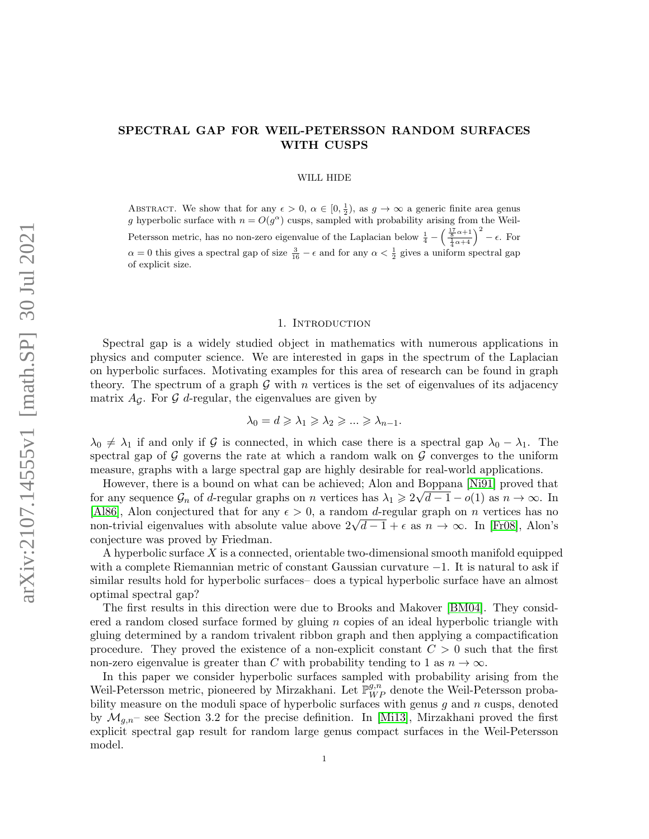# SPECTRAL GAP FOR WEIL-PETERSSON RANDOM SURFACES WITH CUSPS

#### WILL HIDE

ABSTRACT. We show that for any  $\epsilon > 0$ ,  $\alpha \in [0, \frac{1}{2})$ , as  $g \to \infty$  a generic finite area genus g hyperbolic surface with  $n = O(g^{\alpha})$  cusps, sampled with probability arising from the Weil-Petersson metric, has no non-zero eigenvalue of the Laplacian below  $\frac{1}{4} - \left(\frac{\frac{17}{8}\alpha+1}{\frac{1}{4}\alpha+4}\right)^2 - \epsilon$ . For  $\alpha = 0$  this gives a spectral gap of size  $\frac{3}{16} - \epsilon$  and for any  $\alpha < \frac{1}{2}$  gives a uniform spectral gap of explicit size.

#### 1. INTRODUCTION

Spectral gap is a widely studied object in mathematics with numerous applications in physics and computer science. We are interested in gaps in the spectrum of the Laplacian on hyperbolic surfaces. Motivating examples for this area of research can be found in graph theory. The spectrum of a graph  $\mathcal G$  with n vertices is the set of eigenvalues of its adjacency matrix  $A_{\mathcal{G}}$ . For  $\mathcal{G}$  d-regular, the eigenvalues are given by

$$
\lambda_0 = d \geqslant \lambda_1 \geqslant \lambda_2 \geqslant \ldots \geqslant \lambda_{n-1}.
$$

 $\lambda_0 \neq \lambda_1$  if and only if G is connected, in which case there is a spectral gap  $\lambda_0 - \lambda_1$ . The spectral gap of  $\mathcal G$  governs the rate at which a random walk on  $\mathcal G$  converges to the uniform measure, graphs with a large spectral gap are highly desirable for real-world applications.

However, there is a bound on what can be achieved; Alon and Boppana [\[Ni91\]](#page-35-0) proved that for any sequence  $\mathcal{G}_n$  of d-regular graphs on n vertices has  $\lambda_1 \geqslant 2\sqrt{d-1} - o(1)$  as  $n \to \infty$ . In [\[Al86\]](#page-34-0), Alon conjectured that for any  $\epsilon > 0$ , a random d-regular graph on n vertices has no (Also), Alon conjectured that for any  $\epsilon > 0$ , a random a-regular graph on n vertices has no<br>non-trivial eigenvalues with absolute value above  $2\sqrt{d-1} + \epsilon$  as  $n \to \infty$ . In [\[Fr08\]](#page-34-1), Alon's conjecture was proved by Friedman.

A hyperbolic surface  $X$  is a connected, orientable two-dimensional smooth manifold equipped with a complete Riemannian metric of constant Gaussian curvature −1. It is natural to ask if similar results hold for hyperbolic surfaces– does a typical hyperbolic surface have an almost optimal spectral gap?

The first results in this direction were due to Brooks and Makover [\[BM04\]](#page-34-2). They considered a random closed surface formed by gluing  $n$  copies of an ideal hyperbolic triangle with gluing determined by a random trivalent ribbon graph and then applying a compactification procedure. They proved the existence of a non-explicit constant  $C > 0$  such that the first non-zero eigenvalue is greater than C with probability tending to 1 as  $n \to \infty$ .

In this paper we consider hyperbolic surfaces sampled with probability arising from the Weil-Petersson metric, pioneered by Mirzakhani. Let  $\mathbb{P}_{WP}^{g,n}$  denote the Weil-Petersson probability measure on the moduli space of hyperbolic surfaces with genus  $g$  and  $n$  cusps, denoted by  $\mathcal{M}_{q,n}$ – see Section 3.2 for the precise definition. In [\[Mi13\]](#page-34-3), Mirzakhani proved the first explicit spectral gap result for random large genus compact surfaces in the Weil-Petersson model.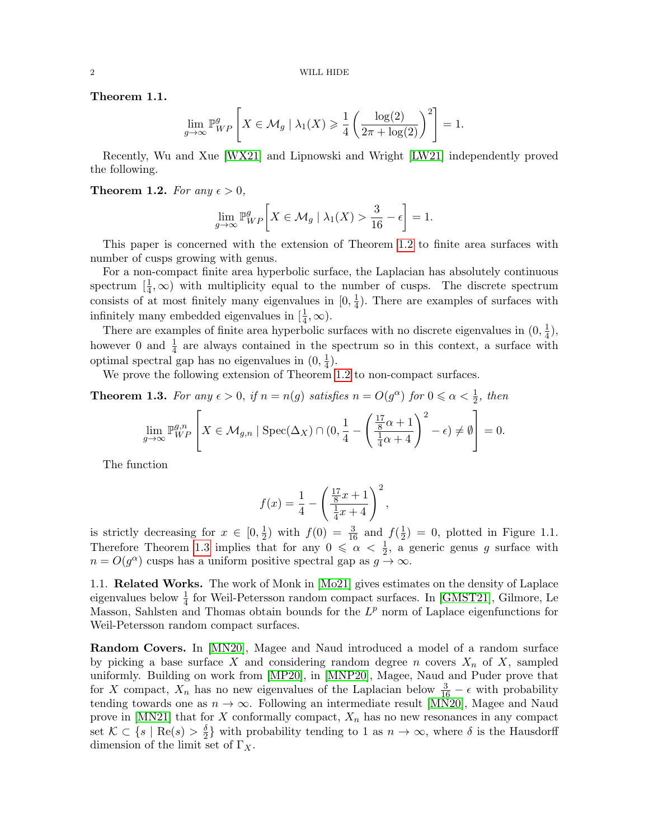Theorem 1.1.

$$
\lim_{g \to \infty} \mathbb{P}_{WP}^g \left[ X \in \mathcal{M}_g \mid \lambda_1(X) \geq \frac{1}{4} \left( \frac{\log(2)}{2\pi + \log(2)} \right)^2 \right] = 1.
$$

Recently, Wu and Xue [\[WX21\]](#page-35-1) and Lipnowski and Wright [\[LW21\]](#page-34-4) independently proved the following.

<span id="page-1-0"></span>**Theorem 1.2.** For any  $\epsilon > 0$ ,

$$
\lim_{g \to \infty} \mathbb{P}_{WP}^g \bigg[ X \in \mathcal{M}_g \mid \lambda_1(X) > \frac{3}{16} - \epsilon \bigg] = 1.
$$

This paper is concerned with the extension of Theorem [1.2](#page-1-0) to finite area surfaces with number of cusps growing with genus.

For a non-compact finite area hyperbolic surface, the Laplacian has absolutely continuous spectrum  $\left[\frac{1}{4}, \infty\right)$  with multiplicity equal to the number of cusps. The discrete spectrum consists of at most finitely many eigenvalues in  $[0, \frac{1}{4}]$  $\frac{1}{4}$ ). There are examples of surfaces with infinitely many embedded eigenvalues in  $[\frac{1}{4}, \infty)$ .

There are examples of finite area hyperbolic surfaces with no discrete eigenvalues in  $(0, \frac{1}{4})$  $\frac{1}{4}),$ however 0 and  $\frac{1}{4}$  are always contained in the spectrum so in this context, a surface with optimal spectral gap has no eigenvalues in  $(0, \frac{1}{4})$  $(\frac{1}{4})$ .

We prove the following extension of Theorem [1.2](#page-1-0) to non-compact surfaces.

<span id="page-1-1"></span>**Theorem 1.3.** For any  $\epsilon > 0$ , if  $n = n(g)$  satisfies  $n = O(g^{\alpha})$  for  $0 \le \alpha < \frac{1}{2}$ , then

$$
\lim_{g \to \infty} \mathbb{P}_{WP}^{g,n} \left[ X \in \mathcal{M}_{g,n} \mid \text{Spec}(\Delta_X) \cap (0, \frac{1}{4} - \left( \frac{\frac{17}{8}\alpha + 1}{\frac{1}{4}\alpha + 4} \right)^2 - \epsilon) \neq \emptyset \right] = 0.
$$

The function

$$
f(x) = \frac{1}{4} - \left(\frac{\frac{17}{8}x + 1}{\frac{1}{4}x + 4}\right)^2,
$$

is strictly decreasing for  $x \in [0, \frac{1}{2}]$  $(\frac{1}{2})$  with  $f(0) = \frac{3}{16}$  and  $f(\frac{1}{2})$  $\frac{1}{2}$  = 0, plotted in Figure 1.1. Therefore Theorem [1.3](#page-1-1) implies that for any  $0 \le \alpha < \frac{1}{2}$ , a generic genus g surface with  $n = O(g^{\alpha})$  cusps has a uniform positive spectral gap as  $g \to \infty$ .

1.1. Related Works. The work of Monk in [\[Mo21\]](#page-34-5) gives estimates on the density of Laplace eigenvalues below  $\frac{1}{4}$  for Weil-Petersson random compact surfaces. In [\[GMST21\]](#page-34-6), Gilmore, Le Masson, Sahlsten and Thomas obtain bounds for the  $L^p$  norm of Laplace eigenfunctions for Weil-Petersson random compact surfaces.

Random Covers. In [\[MN20\]](#page-34-7), Magee and Naud introduced a model of a random surface by picking a base surface X and considering random degree n covers  $X_n$  of X, sampled uniformly. Building on work from [\[MP20\]](#page-34-8), in [\[MNP20\]](#page-34-9), Magee, Naud and Puder prove that for X compact,  $X_n$  has no new eigenvalues of the Laplacian below  $\frac{3}{16} - \epsilon$  with probability tending towards one as  $n \to \infty$ . Following an intermediate result [\[MN20\]](#page-34-7), Magee and Naud prove in [\[MN21\]](#page-34-10) that for  $X$  conformally compact,  $X_n$  has no new resonances in any compact set  $\mathcal{K} \subset \{s \mid \text{Re}(s) > \frac{\delta}{2}\}$  $\frac{\delta}{2}$  with probability tending to 1 as  $n \to \infty$ , where  $\delta$  is the Hausdorff dimension of the limit set of  $\Gamma_X$ .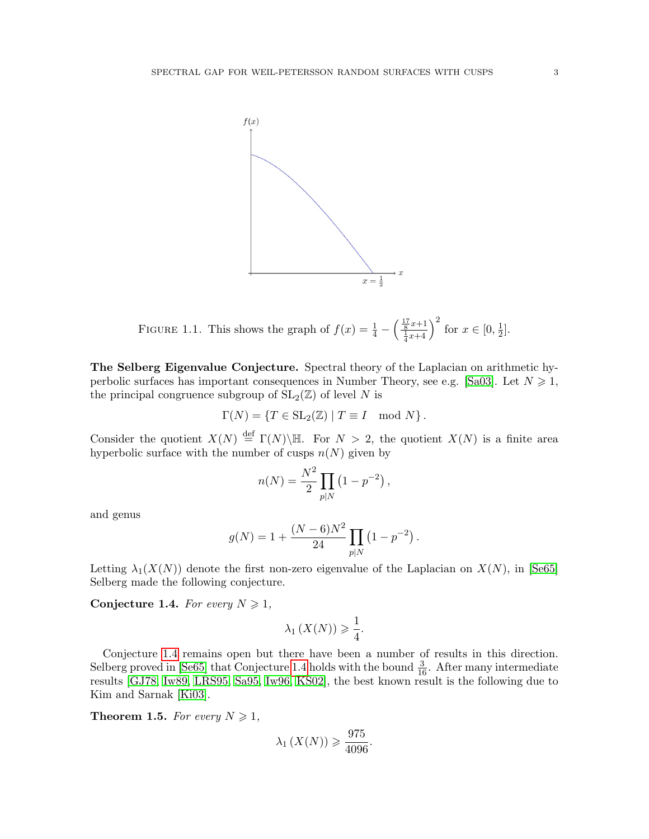

FIGURE 1.1. This shows the graph of  $f(x) = \frac{1}{4} - \left(\frac{\frac{17}{8}x+1}{\frac{1}{4}x+4}\right)^2$  for  $x \in [0, \frac{1}{2}]$  $\frac{1}{2}$ .

The Selberg Eigenvalue Conjecture. Spectral theory of the Laplacian on arithmetic hy-perbolic surfaces has important consequences in Number Theory, see e.g. [\[Sa03\]](#page-35-2). Let  $N \geq 1$ , the principal congruence subgroup of  $SL_2(\mathbb{Z})$  of level N is

$$
\Gamma(N) = \{ T \in SL_2(\mathbb{Z}) \mid T \equiv I \mod N \}.
$$

Consider the quotient  $X(N) \stackrel{\text{def}}{=} \Gamma(N) \backslash \mathbb{H}$ . For  $N > 2$ , the quotient  $X(N)$  is a finite area hyperbolic surface with the number of cusps  $n(N)$  given by

$$
n(N) = \frac{N^2}{2} \prod_{p|N} (1 - p^{-2}),
$$

and genus

$$
g(N) = 1 + \frac{(N-6)N^2}{24} \prod_{p|N} (1 - p^{-2}).
$$

Letting  $\lambda_1(X(N))$  denote the first non-zero eigenvalue of the Laplacian on  $X(N)$ , in [\[Se65\]](#page-35-3) Selberg made the following conjecture.

<span id="page-2-0"></span>Conjecture 1.4. For every  $N \geq 1$ ,

$$
\lambda_1(X(N)) \geq \frac{1}{4}.
$$

Conjecture [1.4](#page-2-0) remains open but there have been a number of results in this direction. Selberg proved in [\[Se65\]](#page-35-3) that Conjecture [1.4](#page-2-0) holds with the bound  $\frac{3}{16}$ . After many intermediate results [\[GJ78,](#page-34-11) [Iw89,](#page-34-12) [LRS95,](#page-34-13) [Sa95,](#page-35-4) [Iw96,](#page-34-14) [KS02\]](#page-34-15), the best known result is the following due to Kim and Sarnak [\[Ki03\]](#page-34-16).

**Theorem 1.5.** For every  $N \geq 1$ ,

$$
\lambda_1\left(X(N)\right) \geqslant \frac{975}{4096}.
$$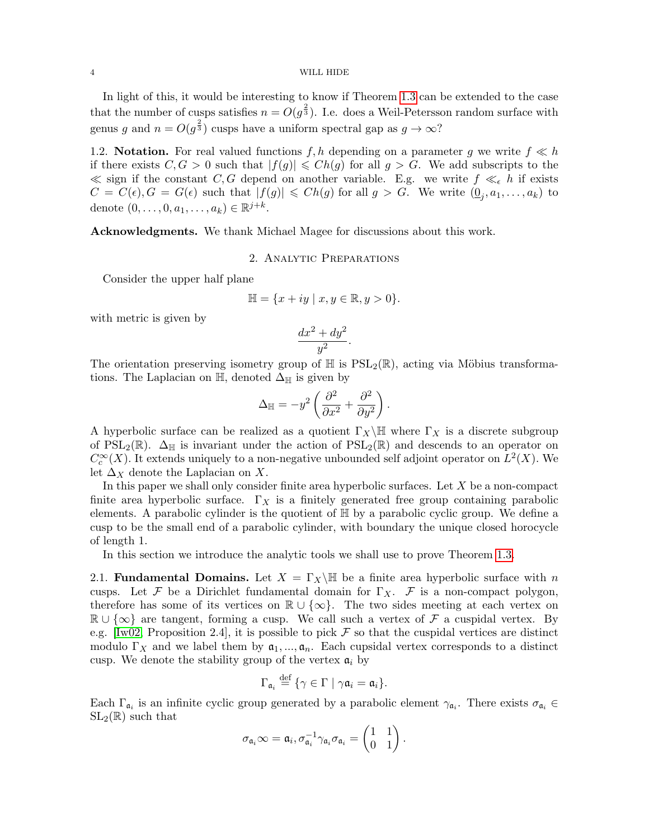#### 4 WILL HIDE

In light of this, it would be interesting to know if Theorem [1.3](#page-1-1) can be extended to the case that the number of cusps satisfies  $n = O(g^{\frac{2}{3}})$ . I.e. does a Weil-Petersson random surface with genus g and  $n = O(g^{\frac{2}{3}})$  cusps have a uniform spectral gap as  $g \to \infty$ ?

1.2. Notation. For real valued functions  $f, h$  depending on a parameter g we write  $f \ll h$ if there exists  $C, G > 0$  such that  $|f(g)| \leqslant Ch(g)$  for all  $g > G$ . We add subscripts to the  $\ll$  sign if the constant C, G depend on another variable. E.g. we write  $f \ll_{\epsilon} h$  if exists  $C = C(\epsilon), G = G(\epsilon)$  such that  $|f(g)| \leq C h(g)$  for all  $g > G$ . We write  $(\underline{0}_j, a_1, \ldots, a_k)$  to denote  $(0, ..., 0, a_1, ..., a_k) \in \mathbb{R}^{j+k}$ .

Acknowledgments. We thank Michael Magee for discussions about this work.

# 2. Analytic Preparations

Consider the upper half plane

$$
\mathbb{H} = \{x + iy \mid x, y \in \mathbb{R}, y > 0\}.
$$

with metric is given by

$$
\frac{dx^2 + dy^2}{y^2}.
$$

The orientation preserving isometry group of  $\mathbb H$  is  $PSL_2(\mathbb R)$ , acting via Möbius transformations. The Laplacian on  $\mathbb{H}$ , denoted  $\Delta_{\mathbb{H}}$  is given by

$$
\Delta_{\mathbb{H}} = -y^2 \left( \frac{\partial^2}{\partial x^2} + \frac{\partial^2}{\partial y^2} \right).
$$

A hyperbolic surface can be realized as a quotient  $\Gamma_X\backslash\mathbb{H}$  where  $\Gamma_X$  is a discrete subgroup of  $PSL_2(\mathbb{R})$ .  $\Delta_{\mathbb{H}}$  is invariant under the action of  $PSL_2(\mathbb{R})$  and descends to an operator on  $C_c^{\infty}(X)$ . It extends uniquely to a non-negative unbounded self adjoint operator on  $L^2(X)$ . We let  $\Delta_X$  denote the Laplacian on X.

In this paper we shall only consider finite area hyperbolic surfaces. Let  $X$  be a non-compact finite area hyperbolic surface.  $\Gamma_X$  is a finitely generated free group containing parabolic elements. A parabolic cylinder is the quotient of  $\mathbb{H}$  by a parabolic cyclic group. We define a cusp to be the small end of a parabolic cylinder, with boundary the unique closed horocycle of length 1.

In this section we introduce the analytic tools we shall use to prove Theorem [1.3.](#page-1-1)

2.1. **Fundamental Domains.** Let  $X = \Gamma_X \backslash \mathbb{H}$  be a finite area hyperbolic surface with n cusps. Let F be a Dirichlet fundamental domain for  $\Gamma_X$ . F is a non-compact polygon, therefore has some of its vertices on  $\mathbb{R} \cup \{\infty\}$ . The two sides meeting at each vertex on  $\mathbb{R} \cup \{\infty\}$  are tangent, forming a cusp. We call such a vertex of F a cuspidal vertex. By e.g. [\[Iw02,](#page-34-17) Proposition 2.4], it is possible to pick  $\mathcal F$  so that the cuspidal vertices are distinct modulo  $\Gamma_X$  and we label them by  $\mathfrak{a}_1, ..., \mathfrak{a}_n$ . Each cupsidal vertex corresponds to a distinct cusp. We denote the stability group of the vertex  $a_i$  by

$$
\Gamma_{\mathfrak{a}_i} \stackrel{\text{def}}{=} \{ \gamma \in \Gamma \mid \gamma \mathfrak{a}_i = \mathfrak{a}_i \}.
$$

Each  $\Gamma_{\mathfrak{a}_i}$  is an infinite cyclic group generated by a parabolic element  $\gamma_{\mathfrak{a}_i}$ . There exists  $\sigma_{\mathfrak{a}_i} \in$  $SL_2(\mathbb{R})$  such that

$$
\sigma_{\mathfrak{a}_i} \infty = \mathfrak{a}_i, \sigma_{\mathfrak{a}_i}^{-1} \gamma_{\mathfrak{a}_i} \sigma_{\mathfrak{a}_i} = \begin{pmatrix} 1 & 1 \\ 0 & 1 \end{pmatrix}.
$$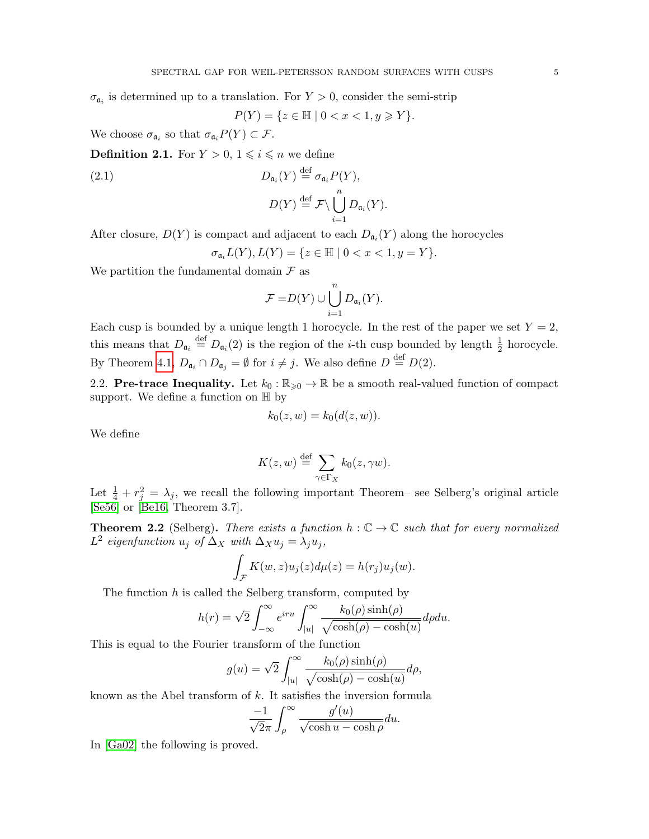$\sigma_{\mathfrak{a}_i}$  is determined up to a translation. For  $Y > 0$ , consider the semi-strip

$$
P(Y) = \{ z \in \mathbb{H} \mid 0 < x < 1, y \geq Y \}.
$$

We choose  $\sigma_{\mathfrak{a}_i}$  so that  $\sigma_{\mathfrak{a}_i} P(Y) \subset \mathcal{F}$ .

**Definition 2.1.** For  $Y > 0$ ,  $1 \leq i \leq n$  we define

<span id="page-4-0"></span>(2.1) 
$$
D_{\mathfrak{a}_i}(Y) \stackrel{\text{def}}{=} \sigma_{\mathfrak{a}_i} P(Y),
$$

$$
D(Y) \stackrel{\text{def}}{=} \mathcal{F} \setminus \bigcup_{i=1}^n D_{\mathfrak{a}_i}(Y).
$$

After closure,  $D(Y)$  is compact and adjacent to each  $D_{\mathfrak{a}_i}(Y)$  along the horocycles

$$
\sigma_{\mathfrak{a}_i} L(Y), L(Y) = \{ z \in \mathbb{H} \mid 0 < x < 1, y = Y \}.
$$

We partition the fundamental domain  $\mathcal F$  as

$$
\mathcal{F} = D(Y) \cup \bigcup_{i=1}^{n} D_{\mathfrak{a}_i}(Y).
$$

Each cusp is bounded by a unique length 1 horocycle. In the rest of the paper we set  $Y = 2$ , this means that  $D_{\mathfrak{a}_i} \stackrel{\text{def}}{=} D_{\mathfrak{a}_i}(2)$  is the region of the *i*-th cusp bounded by length  $\frac{1}{2}$  horocycle. By Theorem [4.1,](#page-10-0)  $D_{\mathfrak{a}_i} \cap D_{\mathfrak{a}_j} = \emptyset$  for  $i \neq j$ . We also define  $D \stackrel{\text{def}}{=} D(2)$ .

2.2. Pre-trace Inequality. Let  $k_0 : \mathbb{R}_{\geqslant 0} \to \mathbb{R}$  be a smooth real-valued function of compact support. We define a function on  $\mathbb H$  by

$$
k_0(z, w) = k_0(d(z, w)).
$$

We define

$$
K(z, w) \stackrel{\text{def}}{=} \sum_{\gamma \in \Gamma_X} k_0(z, \gamma w).
$$

Let  $\frac{1}{4} + r_j^2 = \lambda_j$ , we recall the following important Theorem– see Selberg's original article [\[Se56\]](#page-35-5) or [\[Be16,](#page-34-18) Theorem 3.7].

**Theorem 2.2** (Selberg). There exists a function  $h : \mathbb{C} \to \mathbb{C}$  such that for every normalized L<sup>2</sup> eigenfunction  $u_j$  of  $\Delta_X$  with  $\Delta_X u_j = \lambda_j u_j$ ,

$$
\int_{\mathcal{F}} K(w, z) u_j(z) d\mu(z) = h(r_j) u_j(w).
$$

The function  $h$  is called the Selberg transform, computed by

$$
h(r) = \sqrt{2} \int_{-\infty}^{\infty} e^{iru} \int_{|u|}^{\infty} \frac{k_0(\rho) \sinh(\rho)}{\sqrt{\cosh(\rho) - \cosh(u)}} d\rho du.
$$

This is equal to the Fourier transform of the function

$$
g(u) = \sqrt{2} \int_{|u|}^{\infty} \frac{k_0(\rho) \sinh(\rho)}{\sqrt{\cosh(\rho) - \cosh(u)}} d\rho,
$$

known as the Abel transform of  $k$ . It satisfies the inversion formula

$$
\frac{-1}{\sqrt{2}\pi} \int_{\rho}^{\infty} \frac{g'(u)}{\sqrt{\cosh u - \cosh \rho}} du.
$$

In [\[Ga02\]](#page-34-19) the following is proved.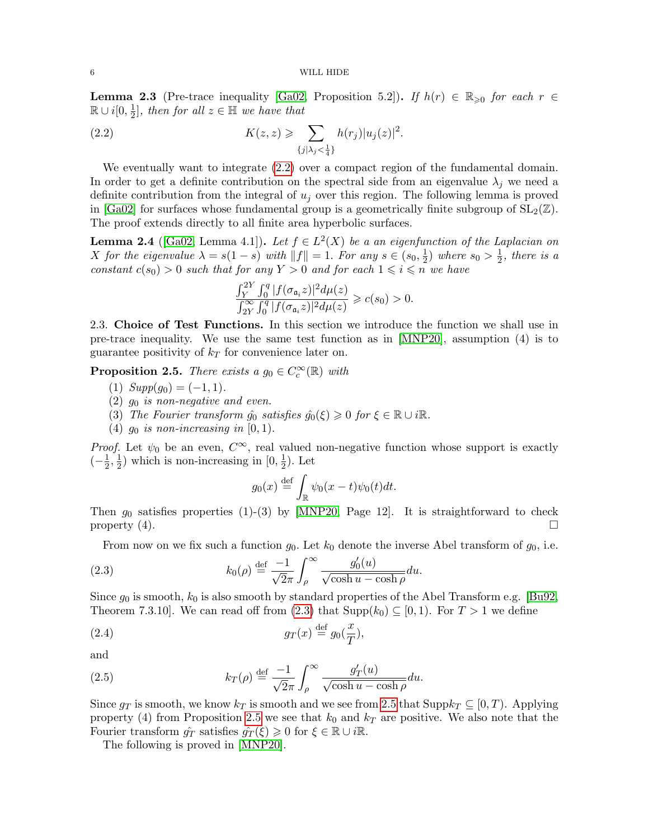**Lemma 2.3** (Pre-trace inequality [\[Ga02,](#page-34-19) Proposition 5.2]). If  $h(r) \in \mathbb{R}_{\geq 0}$  for each  $r \in$  $\mathbb{R} \cup i[0, \frac{1}{2}]$  $\frac{1}{2}$ , then for all  $z \in \mathbb{H}$  we have that

<span id="page-5-0"></span>(2.2) 
$$
K(z, z) \geqslant \sum_{\{j|\lambda_j < \frac{1}{4}\}} h(r_j) |u_j(z)|^2.
$$

We eventually want to integrate  $(2.2)$  over a compact region of the fundamental domain. In order to get a definite contribution on the spectral side from an eigenvalue  $\lambda_j$  we need a definite contribution from the integral of  $u_j$  over this region. The following lemma is proved in [\[Ga02\]](#page-34-19) for surfaces whose fundamental group is a geometrically finite subgroup of  $SL_2(\mathbb{Z})$ . The proof extends directly to all finite area hyperbolic surfaces.

<span id="page-5-4"></span>**Lemma 2.4** ([\[Ga02,](#page-34-19) Lemma 4.1]). Let  $f \in L^2(X)$  be a an eigenfunction of the Laplacian on X for the eigenvalue  $\lambda = s(1-s)$  with  $||f|| = 1$ . For any  $s \in (s_0, \frac{1}{2})$  $(\frac{1}{2})$  where  $s_0 > \frac{1}{2}$  $\frac{1}{2}$ , there is a constant  $c(s_0) > 0$  such that for any  $Y > 0$  and for each  $1 \leq i \leq n$  we have

$$
\frac{\int_{Y}^{2Y} \int_{0}^{q} |f(\sigma_{\mathfrak{a}_i} z)|^2 d\mu(z)}{\int_{2Y}^{\infty} \int_{0}^{q} |f(\sigma_{\mathfrak{a}_i} z)|^2 d\mu(z)} \geqslant c(s_0) > 0.
$$

2.3. Choice of Test Functions. In this section we introduce the function we shall use in pre-trace inequality. We use the same test function as in [\[MNP20\]](#page-34-9), assumption (4) is to guarantee positivity of  $k_T$  for convenience later on.

<span id="page-5-3"></span>**Proposition 2.5.** There exists a  $g_0 \in C_c^{\infty}(\mathbb{R})$  with

- (1)  $Supp(g_0) = (-1, 1)$ .
- $(2)$  g<sub>0</sub> is non-negative and even.
- (3) The Fourier transform  $\hat{g}_0$  satisfies  $\hat{g}_0(\xi) \geq 0$  for  $\xi \in \mathbb{R} \cup i\mathbb{R}$ .
- (4)  $g_0$  is non-increasing in [0, 1).

*Proof.* Let  $\psi_0$  be an even,  $C^{\infty}$ , real valued non-negative function whose support is exactly  $\left(-\frac{1}{2}\right)$  $\frac{1}{2}, \frac{1}{2}$  $\frac{1}{2}$ ) which is non-increasing in  $[0, \frac{1}{2}]$  $(\frac{1}{2})$ . Let

<span id="page-5-1"></span>
$$
g_0(x) \stackrel{\text{def}}{=} \int_{\mathbb{R}} \psi_0(x-t) \psi_0(t) dt.
$$

Then  $g_0$  satisfies properties (1)-(3) by [\[MNP20,](#page-34-9) Page 12]. It is straightforward to check property (4).

From now on we fix such a function  $g_0$ . Let  $k_0$  denote the inverse Abel transform of  $g_0$ , i.e.

(2.3) 
$$
k_0(\rho) \stackrel{\text{def}}{=} \frac{-1}{\sqrt{2\pi}} \int_{\rho}^{\infty} \frac{g_0'(u)}{\sqrt{\cosh u - \cosh \rho}} du.
$$

Since  $g_0$  is smooth,  $k_0$  is also smooth by standard properties of the Abel Transform e.g. [\[Bu92,](#page-34-20) Theorem 7.3.10]. We can read off from [\(2.3\)](#page-5-1) that  $\text{Supp}(k_0) \subseteq [0,1)$ . For  $T > 1$  we define

(2.4) 
$$
g_T(x) \stackrel{\text{def}}{=} g_0(\frac{x}{T}),
$$

and

<span id="page-5-2"></span>(2.5) 
$$
k_T(\rho) \stackrel{\text{def}}{=} \frac{-1}{\sqrt{2\pi}} \int_{\rho}^{\infty} \frac{g'_T(u)}{\sqrt{\cosh u - \cosh \rho}} du.
$$

Since  $g_T$  is smooth, we know  $k_T$  is smooth and we see from [2.5](#page-5-2) that Supp $k_T \subseteq [0, T)$ . Applying property (4) from Proposition [2.5](#page-5-3) we see that  $k_0$  and  $k_T$  are positive. We also note that the Fourier transform  $\hat{g}_T$  satisfies  $\hat{g}_T(\xi) \geq 0$  for  $\xi \in \mathbb{R} \cup i\mathbb{R}$ .

The following is proved in [\[MNP20\]](#page-34-9).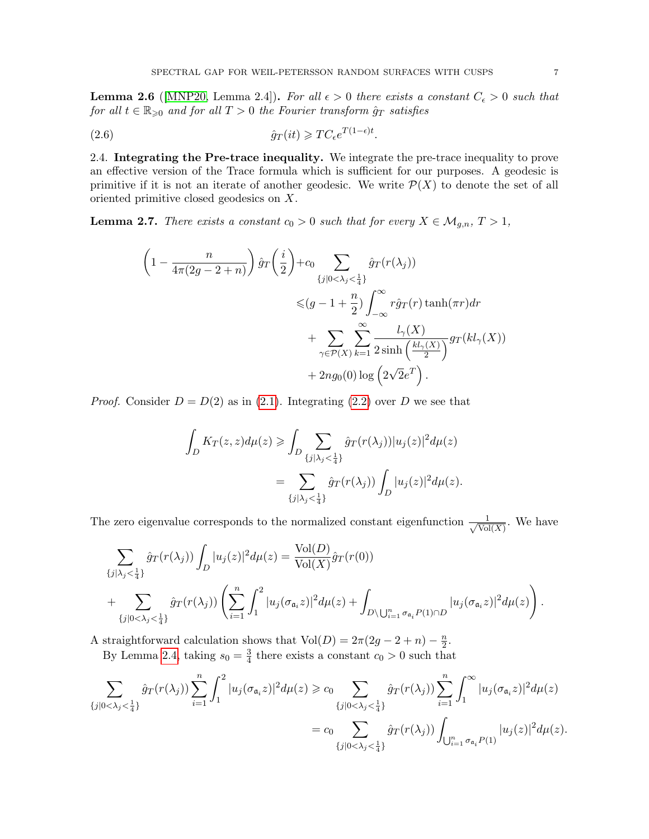<span id="page-6-1"></span>**Lemma 2.6** ([\[MNP20,](#page-34-9) Lemma 2.4]). For all  $\epsilon > 0$  there exists a constant  $C_{\epsilon} > 0$  such that for all  $t \in \mathbb{R}_{\geqslant 0}$  and for all  $T > 0$  the Fourier transform  $\hat{g}_T$  satisfies

(2.6) 
$$
\hat{g}_T(it) \geqslant TC_{\epsilon}e^{T(1-\epsilon)t}.
$$

2.4. Integrating the Pre-trace inequality. We integrate the pre-trace inequality to prove an effective version of the Trace formula which is sufficient for our purposes. A geodesic is primitive if it is not an iterate of another geodesic. We write  $\mathcal{P}(X)$  to denote the set of all oriented primitive closed geodesics on X.

<span id="page-6-0"></span>**Lemma 2.7.** There exists a constant  $c_0 > 0$  such that for every  $X \in \mathcal{M}_{g,n}$ ,  $T > 1$ ,

$$
\left(1 - \frac{n}{4\pi(2g - 2 + n)}\right) \hat{g}_T\left(\frac{i}{2}\right) + c_0 \sum_{\{j|0 < \lambda_j < \frac{1}{4}\}} \hat{g}_T(r(\lambda_j))
$$
  

$$
\leq (g - 1 + \frac{n}{2}) \int_{-\infty}^{\infty} r \hat{g}_T(r) \tanh(\pi r) dr
$$
  

$$
+ \sum_{\gamma \in \mathcal{P}(X)} \sum_{k=1}^{\infty} \frac{l_\gamma(X)}{2 \sinh\left(\frac{kl_\gamma(X)}{2}\right)} gr(kl_\gamma(X))
$$
  

$$
+ 2ng_0(0) \log\left(2\sqrt{2}e^T\right).
$$

*Proof.* Consider  $D = D(2)$  as in [\(2.1\)](#page-4-0). Integrating [\(2.2\)](#page-5-0) over D we see that

$$
\int_D K_T(z, z) d\mu(z) \ge \int_D \sum_{\{j|\lambda_j < \frac{1}{4}\}} \hat{g}_T(r(\lambda_j)) |u_j(z)|^2 d\mu(z)
$$
\n
$$
= \sum_{\{j|\lambda_j < \frac{1}{4}\}} \hat{g}_T(r(\lambda_j)) \int_D |u_j(z)|^2 d\mu(z).
$$

The zero eigenvalue corresponds to the normalized constant eigenfunction  $\frac{1}{\sqrt{Vol}}$  $\frac{1}{\text{Vol}(X)}$ . We have

$$
\sum_{\{j|\lambda_j < \frac{1}{4}\}} \hat{g}_T(r(\lambda_j)) \int_D |u_j(z)|^2 d\mu(z) = \frac{\text{Vol}(D)}{\text{Vol}(X)} \hat{g}_T(r(0)) \n+ \sum_{\{j|0 < \lambda_j < \frac{1}{4}\}} \hat{g}_T(r(\lambda_j)) \left( \sum_{i=1}^n \int_1^2 |u_j(\sigma_{\mathfrak{a}_i}z)|^2 d\mu(z) + \int_{D \setminus \bigcup_{i=1}^n \sigma_{\mathfrak{a}_i} P(1) \cap D} |u_j(\sigma_{\mathfrak{a}_i}z)|^2 d\mu(z) \right).
$$

A straightforward calculation shows that  $Vol(D) = 2\pi(2g - 2 + n) - \frac{n}{2}$  $\frac{n}{2}$ .

By Lemma [2.4,](#page-5-4) taking  $s_0 = \frac{3}{4}$  $\frac{3}{4}$  there exists a constant  $c_0 > 0$  such that

$$
\sum_{\{j|0<\lambda_j<\frac{1}{4}\}}\hat{g}_T(r(\lambda_j))\sum_{i=1}^n\int_1^2|u_j(\sigma_{{\mathfrak a}_i}z)|^2d\mu(z)\geq c_0\sum_{\{j|0<\lambda_j<\frac{1}{4}\}}\hat{g}_T(r(\lambda_j))\sum_{i=1}^n\int_1^\infty|u_j(\sigma_{{\mathfrak a}_i}z)|^2d\mu(z)\n= c_0\sum_{\{j|0<\lambda_j<\frac{1}{4}\}}\hat{g}_T(r(\lambda_j))\int_{\bigcup_{i=1}^n\sigma_{{\mathfrak a}_i}P(1)}|u_j(z)|^2d\mu(z).
$$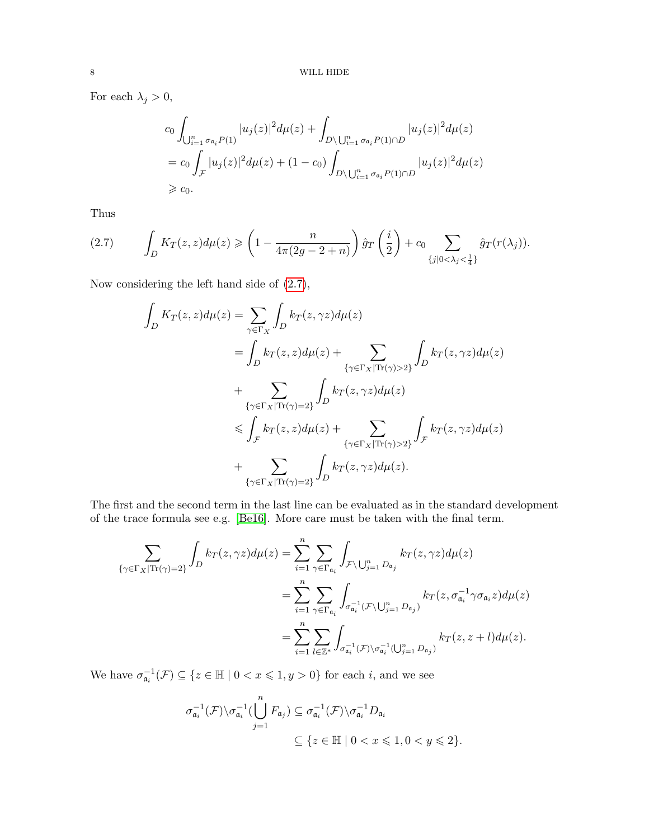For each  $\lambda_j > 0$ ,

$$
c_0 \int_{\bigcup_{i=1}^n \sigma_{\mathfrak{a}_i} P(1)} |u_j(z)|^2 d\mu(z) + \int_{D \setminus \bigcup_{i=1}^n \sigma_{\mathfrak{a}_i} P(1) \cap D} |u_j(z)|^2 d\mu(z)
$$
  
=  $c_0 \int_{\mathcal{F}} |u_j(z)|^2 d\mu(z) + (1 - c_0) \int_{D \setminus \bigcup_{i=1}^n \sigma_{\mathfrak{a}_i} P(1) \cap D} |u_j(z)|^2 d\mu(z)$   
  $\geq c_0.$ 

Thus

<span id="page-7-0"></span>
$$
(2.7) \qquad \int_D K_T(z, z) d\mu(z) \geqslant \left(1 - \frac{n}{4\pi(2g - 2 + n)}\right) \hat{g}_T\left(\frac{i}{2}\right) + c_0 \sum_{\{j \mid 0 < \lambda_j < \frac{1}{4}\}} \hat{g}_T(r(\lambda_j)).
$$

Now considering the left hand side of [\(2.7\)](#page-7-0),

$$
\int_{D} K_{T}(z, z) d\mu(z) = \sum_{\gamma \in \Gamma_{X}} \int_{D} k_{T}(z, \gamma z) d\mu(z)
$$
\n
$$
= \int_{D} k_{T}(z, z) d\mu(z) + \sum_{\{\gamma \in \Gamma_{X} | \text{Tr}(\gamma) > 2\}} \int_{D} k_{T}(z, \gamma z) d\mu(z)
$$
\n
$$
+ \sum_{\{\gamma \in \Gamma_{X} | \text{Tr}(\gamma) = 2\}} \int_{D} k_{T}(z, \gamma z) d\mu(z)
$$
\n
$$
\leq \int_{\mathcal{F}} k_{T}(z, z) d\mu(z) + \sum_{\{\gamma \in \Gamma_{X} | \text{Tr}(\gamma) > 2\}} \int_{\mathcal{F}} k_{T}(z, \gamma z) d\mu(z)
$$
\n
$$
+ \sum_{\{\gamma \in \Gamma_{X} | \text{Tr}(\gamma) = 2\}} \int_{D} k_{T}(z, \gamma z) d\mu(z).
$$

The first and the second term in the last line can be evaluated as in the standard development of the trace formula see e.g. [\[Be16\]](#page-34-18). More care must be taken with the final term.

$$
\sum_{\{\gamma \in \Gamma_X | \text{Tr}(\gamma) = 2\}} \int_D k_T(z, \gamma z) d\mu(z) = \sum_{i=1}^n \sum_{\gamma \in \Gamma_{\mathfrak{a}_i}} \int_{\mathcal{F} \backslash \bigcup_{j=1}^n D_{\mathfrak{a}_j}} k_T(z, \gamma z) d\mu(z)
$$
  

$$
= \sum_{i=1}^n \sum_{\gamma \in \Gamma_{\mathfrak{a}_i}} \int_{\sigma_{\mathfrak{a}_i}^{-1}(\mathcal{F} \backslash \bigcup_{j=1}^n D_{\mathfrak{a}_j})} k_T(z, \sigma_{\mathfrak{a}_i}^{-1} \gamma \sigma_{\mathfrak{a}_i} z) d\mu(z)
$$
  

$$
= \sum_{i=1}^n \sum_{l \in \mathbb{Z}^*} \int_{\sigma_{\mathfrak{a}_i}^{-1}(\mathcal{F}) \backslash \sigma_{\mathfrak{a}_i}^{-1}(\bigcup_{j=1}^n D_{\mathfrak{a}_j})} k_T(z, z + l) d\mu(z).
$$

We have  $\sigma_{a_i}^{-1}(\mathcal{F}) \subseteq \{z \in \mathbb{H} \mid 0 < x \leqslant 1, y > 0\}$  for each *i*, and we see

$$
\sigma_{\mathfrak{a}_i}^{-1}(\mathcal{F}) \setminus \sigma_{\mathfrak{a}_i}^{-1}(\bigcup_{j=1}^n F_{\mathfrak{a}_j}) \subseteq \sigma_{\mathfrak{a}_i}^{-1}(\mathcal{F}) \setminus \sigma_{\mathfrak{a}_i}^{-1} D_{\mathfrak{a}_i}
$$

$$
\subseteq \{ z \in \mathbb{H} \mid 0 < x \leqslant 1, 0 < y \leqslant 2 \}.
$$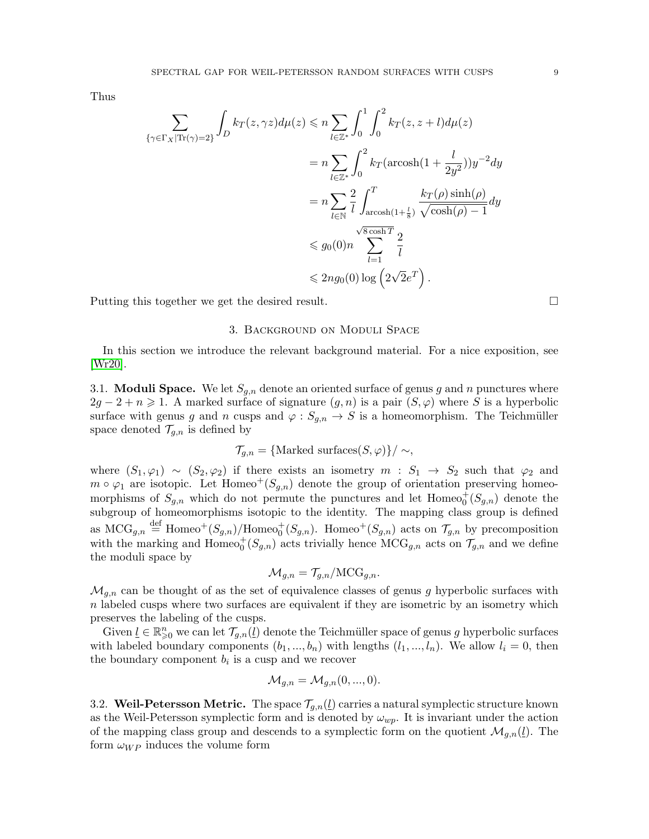Thus

$$
\sum_{\{\gamma \in \Gamma_X | \text{Tr}(\gamma) = 2\}} \int_D k_T(z, \gamma z) d\mu(z) \le n \sum_{l \in \mathbb{Z}^*} \int_0^1 \int_0^2 k_T(z, z + l) d\mu(z)
$$
  
=  $n \sum_{l \in \mathbb{Z}^*} \int_0^2 k_T(\text{arcosh}(1 + \frac{l}{2y^2})) y^{-2} dy$   
=  $n \sum_{l \in \mathbb{N}} \frac{2}{l} \int_{\text{arcosh}(1 + \frac{l}{8})}^T \frac{k_T(\rho) \sinh(\rho)}{\sqrt{\cosh(\rho) - 1}} dy$   
 $\le g_0(0)n \sum_{l=1}^{\sqrt{8} \cosh T} \frac{2}{l}$   
 $\le 2ng_0(0) \log(2\sqrt{2}e^T).$ 

Putting this together we get the desired result.

### 3. Background on Moduli Space

In this section we introduce the relevant background material. For a nice exposition, see [\[Wr20\]](#page-35-6).

3.1. **Moduli Space.** We let  $S_{g,n}$  denote an oriented surface of genus g and n punctures where  $2g - 2 + n \geq 1$ . A marked surface of signature  $(g, n)$  is a pair  $(S, \varphi)$  where S is a hyperbolic surface with genus g and n cusps and  $\varphi: S_{g,n} \to S$  is a homeomorphism. The Teichmüller space denoted  $\mathcal{T}_{g,n}$  is defined by

$$
\mathcal{T}_{g,n} = {\text{Marked surfaces}(S,\varphi)}/\sim,
$$

where  $(S_1, \varphi_1) \sim (S_2, \varphi_2)$  if there exists an isometry  $m : S_1 \to S_2$  such that  $\varphi_2$  and  $m \circ \varphi_1$  are isotopic. Let Homeo<sup>+</sup>( $S_{q,n}$ ) denote the group of orientation preserving homeomorphisms of  $S_{g,n}$  which do not permute the punctures and let  $Homeo_0^+(S_{g,n})$  denote the subgroup of homeomorphisms isotopic to the identity. The mapping class group is defined as  $MCG_{g,n} \stackrel{\text{def}}{=} \text{Homeo}^+(S_{g,n})/\text{Homeo}_0^+(S_{g,n})$ . Homeo<sup>+</sup> $(S_{g,n})$  acts on  $\mathcal{T}_{g,n}$  by precomposition with the marking and  $\text{Homeo}_0^+(S_{g,n})$  acts trivially hence  $\text{MCG}_{g,n}$  acts on  $\mathcal{T}_{g,n}$  and we define the moduli space by

$$
\mathcal{M}_{g,n} = \mathcal{T}_{g,n}/\text{MCG}_{g,n}.
$$

 $\mathcal{M}_{q,n}$  can be thought of as the set of equivalence classes of genus g hyperbolic surfaces with  $n$  labeled cusps where two surfaces are equivalent if they are isometric by an isometry which preserves the labeling of the cusps.

Given  $\underline{l} \in \mathbb{R}_{\geqslant 0}^n$  we can let  $\mathcal{T}_{g,n}(\underline{l})$  denote the Teichmüller space of genus g hyperbolic surfaces with labeled boundary components  $(b_1, ..., b_n)$  with lengths  $(l_1, ..., l_n)$ . We allow  $l_i = 0$ , then the boundary component  $b_i$  is a cusp and we recover

$$
\mathcal{M}_{g,n} = \mathcal{M}_{g,n}(0,...,0).
$$

3.2. Weil-Petersson Metric. The space  $\mathcal{T}_{q,n}(\underline{l})$  carries a natural symplectic structure known as the Weil-Petersson symplectic form and is denoted by  $\omega_{wp}$ . It is invariant under the action of the mapping class group and descends to a symplectic form on the quotient  $\mathcal{M}_{g,n}(\underline{l})$ . The form  $\omega_{WP}$  induces the volume form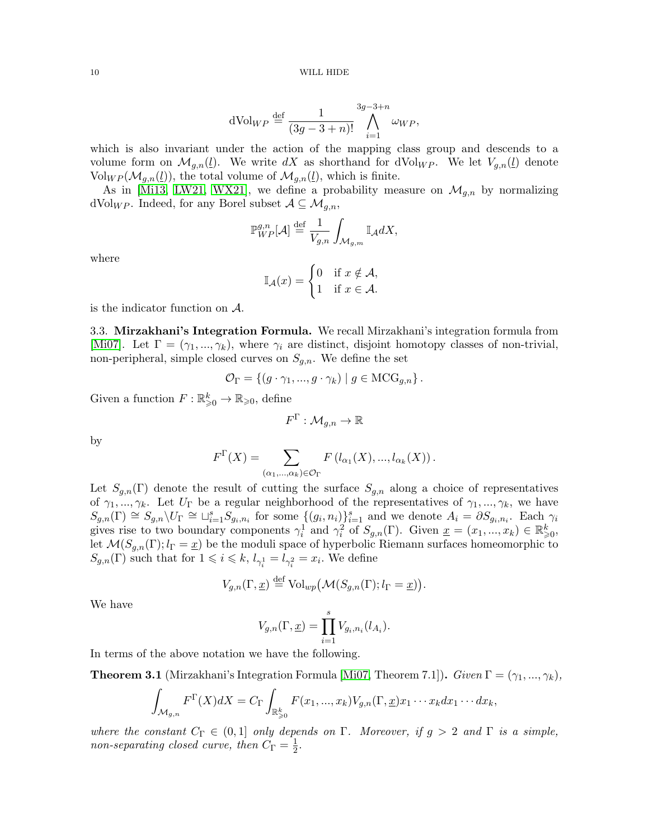dVol<sub>WP</sub> 
$$
\stackrel{\text{def}}{=} \frac{1}{(3g-3+n)!} \bigwedge_{i=1}^{3g-3+n} \omega_{WP},
$$

which is also invariant under the action of the mapping class group and descends to a volume form on  $\mathcal{M}_{q,n}(\underline{l})$ . We write dX as shorthand for  $dVol_{WP}$ . We let  $V_{q,n}(\underline{l})$  denote  $\text{Vol}_{WP}(\mathcal{M}_{g,n}(\underline{l}))$ , the total volume of  $\mathcal{M}_{g,n}(\underline{l})$ , which is finite.

As in [\[Mi13,](#page-34-3) [LW21,](#page-34-4) [WX21\]](#page-35-1), we define a probability measure on  $\mathcal{M}_{q,n}$  by normalizing dVol<sub>WP</sub>. Indeed, for any Borel subset  $A \subseteq \mathcal{M}_{q,n}$ ,

$$
\mathbb{P}_{WP}^{g,n}[{\mathcal{A}}] \stackrel{\text{def}}{=} \frac{1}{V_{g,n}} \int_{{\mathcal{M}}_{g,m}} \mathbb{I}_{{\mathcal{A}}} dX,
$$

where

$$
\mathbb{I}_{\mathcal{A}}(x) = \begin{cases} 0 & \text{if } x \notin \mathcal{A}, \\ 1 & \text{if } x \in \mathcal{A}. \end{cases}
$$

is the indicator function on A.

3.3. Mirzakhani's Integration Formula. We recall Mirzakhani's integration formula from [\[Mi07\]](#page-34-21). Let  $\Gamma = (\gamma_1, ..., \gamma_k)$ , where  $\gamma_i$  are distinct, disjoint homotopy classes of non-trivial, non-peripheral, simple closed curves on  $S_{g,n}$ . We define the set

$$
\mathcal{O}_{\Gamma} = \{ (g \cdot \gamma_1, ..., g \cdot \gamma_k) \mid g \in \text{MCG}_{g,n} \}.
$$

Given a function  $F: \mathbb{R}^k_{\geqslant 0} \to \mathbb{R}_{\geqslant 0}$ , define

$$
F^\Gamma:\mathcal{M}_{g,n}\to\mathbb{R}
$$

by

$$
F^{\Gamma}(X) = \sum_{(\alpha_1,\ldots,\alpha_k)\in \mathcal{O}_{\Gamma}} F(l_{\alpha_1}(X),...,l_{\alpha_k}(X)).
$$

Let  $S_{g,n}(\Gamma)$  denote the result of cutting the surface  $S_{g,n}$  along a choice of representatives of  $\gamma_1, ..., \gamma_k$ . Let  $U_{\Gamma}$  be a regular neighborhood of the representatives of  $\gamma_1, ..., \gamma_k$ , we have  $S_{g,n}(\Gamma) \cong S_{g,n} \backslash U_{\Gamma} \cong \sqcup_{i=1}^s S_{g_i,n_i}$  for some  $\{(g_i,n_i)\}_{i=1}^s$  and we denote  $A_i = \partial S_{g_i,n_i}$ . Each  $\gamma_i$ gives rise to two boundary components  $\gamma_i^1$  and  $\gamma_i^2$  of  $S_{g,n}(\Gamma)$ . Given  $\underline{x} = (x_1, ..., x_k) \in \mathbb{R}_{\geqslant 0}^k$ , let  $\mathcal{M}(S_{g,n}(\Gamma); l_{\Gamma} = \underline{x})$  be the moduli space of hyperbolic Riemann surfaces homeomorphic to  $S_{g,n}(\Gamma)$  such that for  $1 \leqslant i \leqslant k$ ,  $l_{\gamma_i^1} = l_{\gamma_i^2} = x_i$ . We define

$$
V_{g,n}(\Gamma, \underline{x}) \stackrel{\text{def}}{=} \text{Vol}_{wp}(\mathcal{M}(S_{g,n}(\Gamma); l_{\Gamma} = \underline{x})).
$$

We have

$$
V_{g,n}(\Gamma, \underline{x}) = \prod_{i=1}^{s} V_{g_i, n_i}(l_{A_i}).
$$

In terms of the above notation we have the following.

<span id="page-9-0"></span>**Theorem 3.1** (Mirzakhani's Integration Formula [\[Mi07,](#page-34-21) Theorem 7.1]). Given  $\Gamma = (\gamma_1, ..., \gamma_k)$ ,

$$
\int_{\mathcal{M}_{g,n}} F^{\Gamma}(X)dX = C_{\Gamma} \int_{\mathbb{R}^k_{\geqslant 0}} F(x_1,...,x_k) V_{g,n}(\Gamma, \underline{x}) x_1 \cdots x_k dx_1 \cdots dx_k,
$$

where the constant  $C_{\Gamma} \in (0,1]$  only depends on  $\Gamma$ . Moreover, if  $g > 2$  and  $\Gamma$  is a simple, non-separating closed curve, then  $C_{\Gamma} = \frac{1}{2}$  $\frac{1}{2}$ .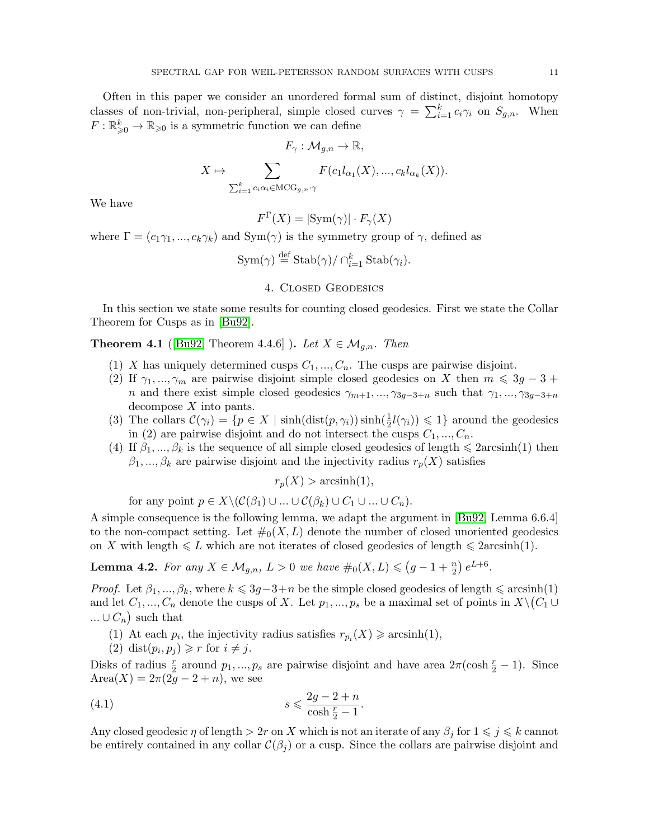Often in this paper we consider an unordered formal sum of distinct, disjoint homotopy classes of non-trivial, non-peripheral, simple closed curves  $\gamma = \sum_{i=1}^{k} c_i \gamma_i$  on  $S_{g,n}$ . When  $F: \mathbb{R}_{\geqslant 0}^k \to \mathbb{R}_{\geqslant 0}$  is a symmetric function we can define

$$
F_{\gamma}: \mathcal{M}_{g,n} \to \mathbb{R},
$$

$$
X \mapsto \sum_{\sum_{i=1}^k c_i \alpha_i \in \mathrm{MCG}_{g,n} \cdot \gamma} F(c_1 l_{\alpha_1}(X), ..., c_k l_{\alpha_k}(X)).
$$

We have

 $F^{\Gamma}(X) = |\text{Sym}(\gamma)| \cdot F_{\gamma}(X)$ 

where  $\Gamma = (c_1\gamma_1, ..., c_k\gamma_k)$  and  $Sym(\gamma)$  is the symmetry group of  $\gamma$ , defined as

$$
\operatorname{Sym}(\gamma) \stackrel{\text{def}}{=} \operatorname{Stab}(\gamma) / \cap_{i=1}^k \operatorname{Stab}(\gamma_i).
$$

## 4. Closed Geodesics

In this section we state some results for counting closed geodesics. First we state the Collar Theorem for Cusps as in [\[Bu92\]](#page-34-20).

<span id="page-10-0"></span>**Theorem 4.1** ([\[Bu92,](#page-34-20) Theorem 4.4.6]). Let  $X \in \mathcal{M}_{g,n}$ . Then

- (1) X has uniquely determined cusps  $C_1, ..., C_n$ . The cusps are pairwise disjoint.
- (2) If  $\gamma_1, ..., \gamma_m$  are pairwise disjoint simple closed geodesics on X then  $m \leq 3g 3 +$ n and there exist simple closed geodesics  $\gamma_{m+1}, ..., \gamma_{3g-3+n}$  such that  $\gamma_1, ..., \gamma_{3g-3+n}$ decompose X into pants.
- (3) The collars  $\mathcal{C}(\gamma_i) = \{p \in X \mid \sinh(\text{dist}(p, \gamma_i)) \sinh(\frac{1}{2}l(\gamma_i)) \leq 1\}$  around the geodesics in (2) are pairwise disjoint and do not intersect the cusps  $C_1, ..., C_n$ .
- (4) If  $\beta_1, ..., \beta_k$  is the sequence of all simple closed geodesics of length  $\leq 2 \arcsinh(1)$  then  $\beta_1, ..., \beta_k$  are pairwise disjoint and the injectivity radius  $r_p(X)$  satisfies

 $r_p(X) > \operatorname{arcsinh}(1),$ 

for any point  $p \in X \setminus (C(\beta_1) \cup ... \cup C(\beta_k) \cup C_1 \cup ... \cup C_n)$ .

A simple consequence is the following lemma, we adapt the argument in [\[Bu92,](#page-34-20) Lemma 6.6.4] to the non-compact setting. Let  $\#_0(X, L)$  denote the number of closed unoriented geodesics on X with length  $\leq L$  which are not iterates of closed geodesics of length  $\leq 2 \arcsinh(1)$ .

<span id="page-10-2"></span>**Lemma 4.2.** For any  $X \in M_{g,n}$ ,  $L > 0$  we have  $\#_0(X, L) \leq (g - 1 + \frac{n}{2}) e^{L+6}$ .

*Proof.* Let  $\beta_1, ..., \beta_k$ , where  $k \leq 3g-3+n$  be the simple closed geodesics of length  $\leq$  arcsinh(1) and let  $C_1, ..., C_n$  denote the cusps of X. Let  $p_1, ..., p_s$  be a maximal set of points in  $X \setminus (C_1 \cup$  $\ldots \cup C_n$  such that

- (1) At each  $p_i$ , the injectivity radius satisfies  $r_{p_i}(X) \geqslant \operatorname{arcsinh}(1)$ ,
- <span id="page-10-1"></span>(2) dist $(p_i, p_j) \geq r$  for  $i \neq j$ .

Disks of radius  $\frac{r}{2}$  around  $p_1, ..., p_s$  are pairwise disjoint and have area  $2\pi(\cosh \frac{r}{2} - 1)$ . Since  $Area(X) = 2\pi(2g - 2 + n)$ , we see

$$
(4.1) \t\t s \leqslant \frac{2g - 2 + n}{\cosh \frac{r}{2} - 1}.
$$

Any closed geodesic  $\eta$  of length  $> 2r$  on X which is not an iterate of any  $\beta_j$  for  $1 \leq j \leq k$  cannot be entirely contained in any collar  $\mathcal{C}(\beta_j)$  or a cusp. Since the collars are pairwise disjoint and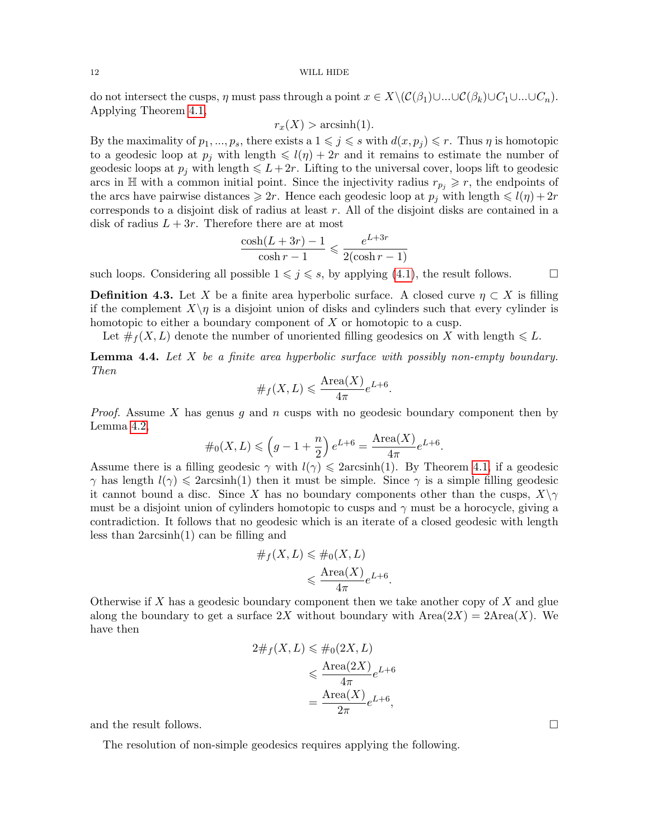#### 12 WILL HIDE

do not intersect the cusps,  $\eta$  must pass through a point  $x \in X \setminus (\mathcal{C}(\beta_1) \cup ... \cup \mathcal{C}(\beta_k) \cup C_1 \cup ... \cup C_n)$ . Applying Theorem [4.1,](#page-10-0)

$$
r_x(X) > \operatorname{arcsinh}(1).
$$

By the maximality of  $p_1, ..., p_s$ , there exists a  $1 \leqslant j \leqslant s$  with  $d(x, p_j) \leqslant r$ . Thus  $\eta$  is homotopic to a geodesic loop at  $p_i$  with length  $\leq l(\eta) + 2r$  and it remains to estimate the number of geodesic loops at  $p_j$  with length  $\leq L+2r$ . Lifting to the universal cover, loops lift to geodesic arcs in  $\mathbb{H}$  with a common initial point. Since the injectivity radius  $r_{p_i} \geq r$ , the endpoints of the arcs have pairwise distances  $\geq 2r$ . Hence each geodesic loop at  $p_j$  with length  $\leq l(\eta) + 2r$ corresponds to a disjoint disk of radius at least r. All of the disjoint disks are contained in a disk of radius  $L + 3r$ . Therefore there are at most

$$
\frac{\cosh(L+3r)-1}{\cosh r-1} \leqslant \frac{e^{L+3r}}{2(\cosh r-1)}
$$

such loops. Considering all possible  $1 \leq j \leq s$ , by applying [\(4.1\)](#page-10-1), the result follows.

**Definition 4.3.** Let X be a finite area hyperbolic surface. A closed curve  $\eta \subset X$  is filling if the complement  $X\setminus\eta$  is a disjoint union of disks and cylinders such that every cylinder is homotopic to either a boundary component of X or homotopic to a cusp.

Let  $\#_f(X, L)$  denote the number of unoriented filling geodesics on X with length  $\leq L$ .

<span id="page-11-0"></span>**Lemma 4.4.** Let  $X$  be a finite area hyperbolic surface with possibly non-empty boundary. Then

#<sup>f</sup> (X, L) 6 Area(X) 4π e L+6 .

*Proof.* Assume X has genus g and n cusps with no geodesic boundary component then by Lemma [4.2,](#page-10-2)

$$
\#_0(X, L) \leqslant \left(g - 1 + \frac{n}{2}\right)e^{L+6} = \frac{\text{Area}(X)}{4\pi}e^{L+6}.
$$

Assume there is a filling geodesic  $\gamma$  with  $l(\gamma) \leq 2 \arcsinh(1)$ . By Theorem [4.1,](#page-10-0) if a geodesic  $\gamma$  has length  $l(\gamma) \leq 2 \arcsinh(1)$  then it must be simple. Since  $\gamma$  is a simple filling geodesic it cannot bound a disc. Since X has no boundary components other than the cusps,  $X\setminus \gamma$ must be a disjoint union of cylinders homotopic to cusps and  $\gamma$  must be a horocycle, giving a contradiction. It follows that no geodesic which is an iterate of a closed geodesic with length less than 2arcsinh(1) can be filling and

$$
\#_f(X, L) \leq \#_0(X, L)
$$

$$
\leq \frac{\text{Area}(X)}{4\pi} e^{L+6}.
$$

Otherwise if  $X$  has a geodesic boundary component then we take another copy of  $X$  and glue along the boundary to get a surface  $2X$  without boundary with  $Area(2X) = 2Area(X)$ . We have then

$$
2\#_f(X, L) \leq \#_0(2X, L)
$$
  

$$
\leq \frac{\text{Area}(2X)}{4\pi}e^{L+6}
$$
  

$$
= \frac{\text{Area}(X)}{2\pi}e^{L+6},
$$

and the result follows.

The resolution of non-simple geodesics requires applying the following.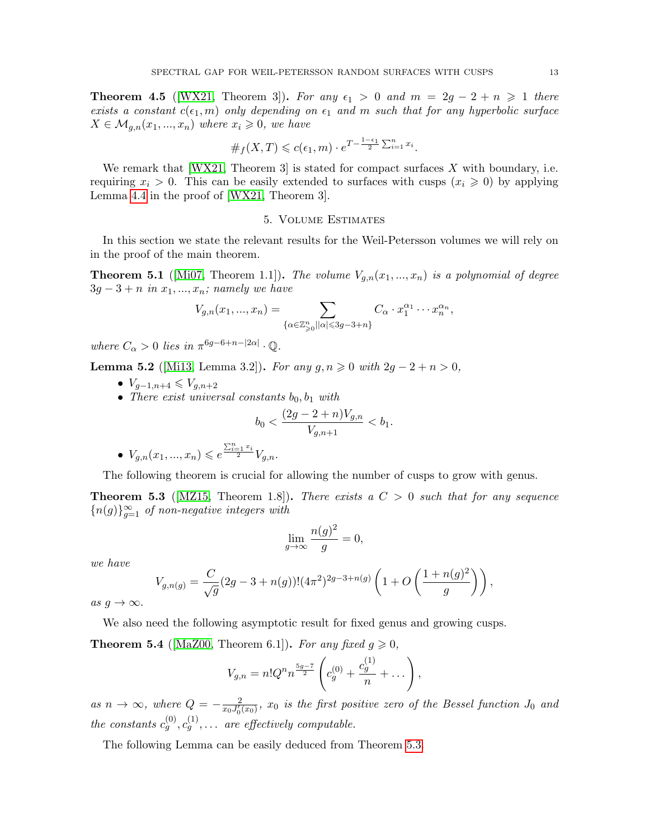<span id="page-12-3"></span>**Theorem 4.5** ([\[WX21,](#page-35-1) Theorem 3]). For any  $\epsilon_1 > 0$  and  $m = 2g - 2 + n \ge 1$  there exists a constant  $c(\epsilon_1, m)$  only depending on  $\epsilon_1$  and m such that for any hyperbolic surface  $X \in \mathcal{M}_{g,n}(x_1,...,x_n)$  where  $x_i \geqslant 0$ , we have

$$
\#_f(X,T) \leqslant c(\epsilon_1,m) \cdot e^{T - \frac{1-\epsilon_1}{2} \sum_{i=1}^n x_i}.
$$

We remark that  $[WX21,$  Theorem 3 is stated for compact surfaces X with boundary, i.e. requiring  $x_i > 0$ . This can be easily extended to surfaces with cusps  $(x_i \geq 0)$  by applying Lemma [4.4](#page-11-0) in the proof of [\[WX21,](#page-35-1) Theorem 3].

## 5. Volume Estimates

In this section we state the relevant results for the Weil-Petersson volumes we will rely on in the proof of the main theorem.

<span id="page-12-4"></span>**Theorem 5.1** ([\[Mi07,](#page-34-21) Theorem 1.1]). The volume  $V_{q,n}(x_1,...,x_n)$  is a polynomial of degree  $3g - 3 + n$  in  $x_1, ..., x_n$ ; namely we have

$$
V_{g,n}(x_1,...,x_n) = \sum_{\{\alpha \in \mathbb{Z}_{\geq 0}^n \mid |\alpha| \leq 3g-3+n\}} C_{\alpha} \cdot x_1^{\alpha_1} \cdots x_n^{\alpha_n},
$$

where  $C_{\alpha} > 0$  lies in  $\pi^{6g-6+n-|2\alpha|} \cdot \mathbb{Q}$ .

<span id="page-12-1"></span>**Lemma 5.2** ([\[Mi13,](#page-34-3) Lemma 3.2]). For any  $g, n \ge 0$  with  $2g - 2 + n > 0$ ,

- $V_{g-1,n+4} \leqslant V_{g,n+2}$
- There exist universal constants  $b_0, b_1$  with

$$
b_0 < \frac{(2g-2+n)V_{g,n}}{V_{g,n+1}} < b_1.
$$

$$
\bullet \ \ V_{g,n}(x_1,...,x_n) \leqslant e^{\frac{\sum_{i=1}^n x_i}{2}}V_{g,n}.
$$

The following theorem is crucial for allowing the number of cusps to grow with genus.

<span id="page-12-0"></span>**Theorem 5.3** ([\[MZ15,](#page-35-7) Theorem 1.8]). There exists a  $C > 0$  such that for any sequence  ${n(g)}_{g=1}^{\infty}$  of non-negative integers with

$$
\lim_{g \to \infty} \frac{n(g)^2}{g} = 0,
$$

we have

$$
V_{g,n(g)} = \frac{C}{\sqrt{g}} (2g - 3 + n(g))! (4\pi^2)^{2g - 3 + n(g)} \left( 1 + O\left(\frac{1 + n(g)^2}{g}\right) \right),
$$

as  $g \to \infty$ .

We also need the following asymptotic result for fixed genus and growing cusps.

<span id="page-12-2"></span>**Theorem 5.4** ([\[MaZ00,](#page-34-22) Theorem 6.1]). For any fixed  $g \ge 0$ ,

$$
V_{g,n} = n!Q^n n^{\frac{5g-7}{2}} \left( c_g^{(0)} + \frac{c_g^{(1)}}{n} + \dots \right),
$$

as  $n \to \infty$ , where  $Q = -\frac{2}{\pi \epsilon_0 I}$  $\frac{2}{x_0 J_0'(x_0)}$ ,  $x_0$  is the first positive zero of the Bessel function  $J_0$  and the constants  $c_g^{(0)}, c_g^{(1)}, \ldots$  are effectively computable.

The following Lemma can be easily deduced from Theorem [5.3.](#page-12-0)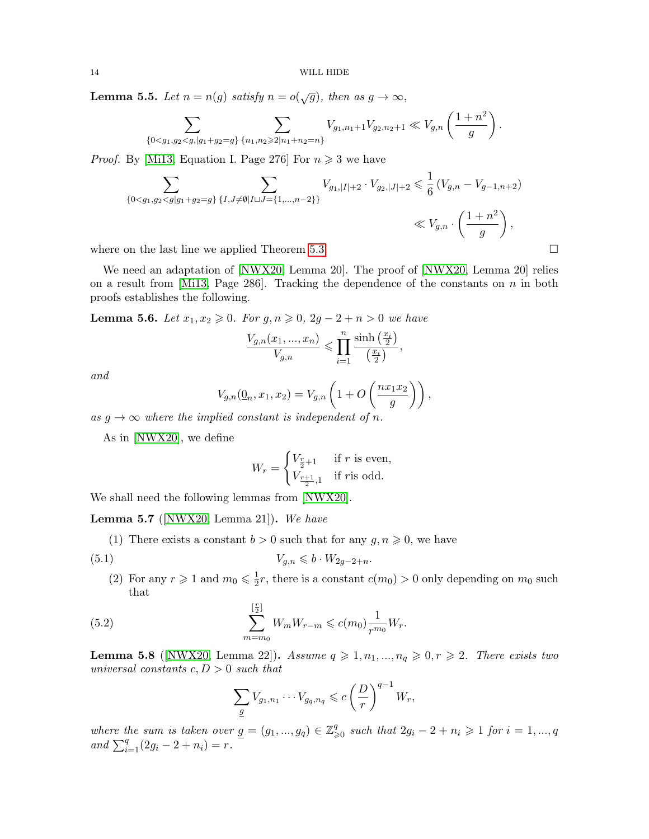<span id="page-13-1"></span>**Lemma 5.5.** Let  $n = n(g)$  satisfy  $n = o(\sqrt{g})$ , then as  $g \to \infty$ ,

$$
\sum_{\{0 < g_1, g_2 < g, |g_1 + g_2 = g\}} \sum_{\{n_1, n_2 \geqslant 2 | n_1 + n_2 = n\}} V_{g_1, n_1 + 1} V_{g_2, n_2 + 1} \ll V_{g, n} \left( \frac{1 + n^2}{g} \right).
$$

*Proof.* By [\[Mi13,](#page-34-3) Equation I. Page 276] For  $n \geq 3$  we have

$$
\sum_{\{0 < g_1, g_2 < g | g_1 + g_2 = g\}} \sum_{\{I, J \neq \emptyset | I \sqcup J = \{1, \dots, n-2\}\}} V_{g_1, |I| + 2} \cdot V_{g_2, |J| + 2} \leq \frac{1}{6} \left( V_{g, n} - V_{g-1, n+2} \right) \ll V_{g, n} \cdot \left( \frac{1 + n^2}{g} \right),
$$

where on the last line we applied Theorem [5.3.](#page-12-0)

We need an adaptation of [\[NWX20,](#page-35-8) Lemma 20]. The proof of [NWX20, Lemma 20] relies on a result from  $[M113, Page 286]$ . Tracking the dependence of the constants on n in both proofs establishes the following.

<span id="page-13-0"></span>**Lemma 5.6.** Let  $x_1, x_2 \ge 0$ . For  $g, n \ge 0$ , 2g − 2 + n > 0 we have

$$
\frac{V_{g,n}(x_1,...,x_n)}{V_{g,n}} \leqslant \prod_{i=1}^n \frac{\sinh\left(\frac{x_i}{2}\right)}{\left(\frac{x_i}{2}\right)},
$$

and

$$
V_{g,n}(\underline{0}_n, x_1, x_2) = V_{g,n}\left(1 + O\left(\frac{nx_1x_2}{g}\right)\right),
$$
  
lied constant is independent of n

as  $g \to \infty$  where the implied constant is independent of n.

As in [\[NWX20\]](#page-35-8), we define

$$
W_r = \begin{cases} V_{\frac{r}{2}+1} & \text{if } r \text{ is even,} \\ V_{\frac{r+1}{2},1} & \text{if } r \text{is odd.} \end{cases}
$$

We shall need the following lemmas from [\[NWX20\]](#page-35-8).

<span id="page-13-3"></span>**Lemma 5.7** ( $[NWX20, Lemma 21]$  $[NWX20, Lemma 21]$ ). We have

(1) There exists a constant  $b > 0$  such that for any  $g, n \geq 0$ , we have

$$
(5.1) \t\t V_{g,n} \leqslant b \cdot W_{2g-2+n}.
$$

(2) For any  $r \geq 1$  and  $m_0 \leq \frac{1}{2}$  $\frac{1}{2}r$ , there is a constant  $c(m_0) > 0$  only depending on  $m_0$  such that

(5.2) 
$$
\sum_{m=m_0}^{\left[\frac{r}{2}\right]} W_m W_{r-m} \leqslant c(m_0) \frac{1}{r^{m_0}} W_r.
$$

<span id="page-13-2"></span>**Lemma 5.8** ([\[NWX20,](#page-35-8) Lemma 22]). Assume  $q \geq 1, n_1, ..., n_q \geq 0, r \geq 2$ . There exists two universal constants  $c, D > 0$  such that

$$
\sum_{\underline{g}} V_{g_1,n_1} \cdots V_{g_q,n_q} \leqslant c \left(\frac{D}{r}\right)^{q-1} W_r,
$$

where the sum is taken over  $g = (g_1, ..., g_q) \in \mathbb{Z}_{\geqslant 0}^q$  such that  $2g_i - 2 + n_i \geqslant 1$  for  $i = 1, ..., q$ and  $\sum_{i=1}^{q} (2g_i - 2 + n_i) = r$ .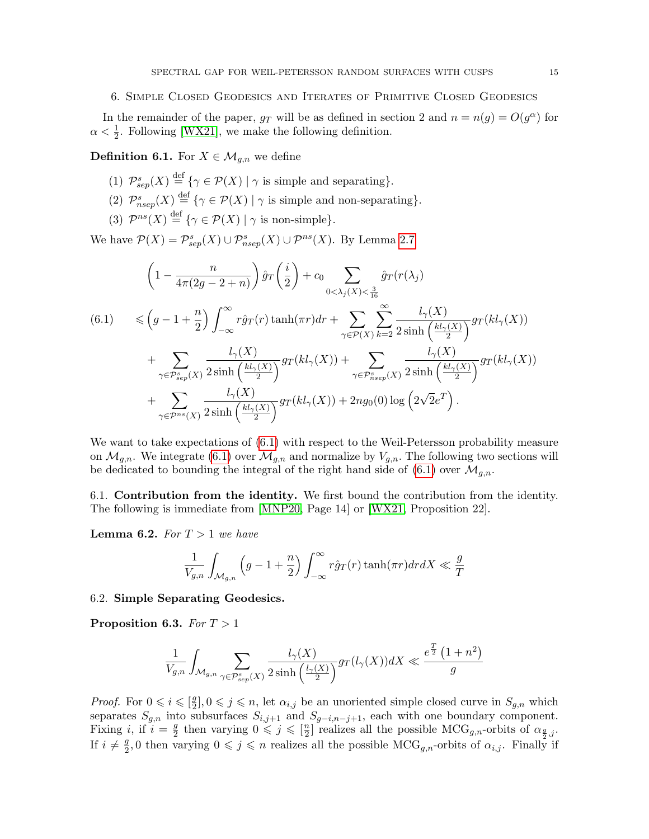## 6. Simple Closed Geodesics and Iterates of Primitive Closed Geodesics

In the remainder of the paper,  $g_T$  will be as defined in section 2 and  $n = n(g) = O(g^{\alpha})$  for  $\alpha < \frac{1}{2}$ . Following [\[WX21\]](#page-35-1), we make the following definition.

**Definition 6.1.** For  $X \in \mathcal{M}_{q,n}$  we define

- (1)  $\mathcal{P}_{sep}^{s}(X) \stackrel{\text{def}}{=} \{ \gamma \in \mathcal{P}(X) \mid \gamma \text{ is simple and separating} \}.$
- (2)  $\mathcal{P}_{nsep}^s(X) \stackrel{\text{def}}{=} {\{\gamma \in \mathcal{P}(X) \mid \gamma$ is simple and non-separating}\}.$
- (3)  $\mathcal{P}^{ns}(X) \stackrel{\text{def}}{=} {\gamma \in \mathcal{P}(X) \mid \gamma \text{ is non-simple}}.$

We have  $P(X) = P_{sep}^s(X) \cup P_{nsep}^s(X) \cup P^{ns}(X)$ . By Lemma [2.7](#page-6-0)

<span id="page-14-0"></span>
$$
\left(1 - \frac{n}{4\pi(2g - 2 + n)}\right) \hat{g}_T\left(\frac{i}{2}\right) + c_0 \sum_{0 < \lambda_j(X) < \frac{3}{16}} \hat{g}_T(r(\lambda_j))
$$
\n
$$
(6.1) \leqslant \left(g - 1 + \frac{n}{2}\right) \int_{-\infty}^{\infty} r \hat{g}_T(r) \tanh(\pi r) dr + \sum_{\gamma \in \mathcal{P}(X)} \sum_{k=2}^{\infty} \frac{l_\gamma(X)}{2 \sinh\left(\frac{kl_\gamma(X)}{2}\right)} gr(kl_\gamma(X)) + \sum_{\gamma \in \mathcal{P}_{sep}^s(X)} \frac{l_\gamma(X)}{2 \sinh\left(\frac{kl_\gamma(X)}{2}\right)} gr(kl_\gamma(X)) + \sum_{\gamma \in \mathcal{P}_{nsep}^s(X)} \frac{l_\gamma(X)}{2 \sinh\left(\frac{kl_\gamma(X)}{2}\right)} gr(kl_\gamma(X)) + 2n g_0(0) \log\left(2\sqrt{2}e^T\right).
$$

We want to take expectations of  $(6.1)$  with respect to the Weil-Petersson probability measure on  $\mathcal{M}_{g,n}$ . We integrate [\(6.1\)](#page-14-0) over  $\mathcal{M}_{g,n}$  and normalize by  $V_{g,n}$ . The following two sections will be dedicated to bounding the integral of the right hand side of [\(6.1\)](#page-14-0) over  $\mathcal{M}_{q,n}$ .

6.1. Contribution from the identity. We first bound the contribution from the identity. The following is immediate from [\[MNP20,](#page-34-9) Page 14] or [\[WX21,](#page-35-1) Proposition 22].

**Lemma 6.2.** For  $T > 1$  we have

$$
\frac{1}{V_{g,n}}\int_{\mathcal{M}_{g,n}}\Big(g-1+\frac{n}{2}\Big)\int_{-\infty}^{\infty}r\hat{g}_T(r)\tanh(\pi r)drdX\ll \frac{g}{T}
$$

6.2. Simple Separating Geodesics.

<span id="page-14-1"></span>Proposition 6.3. For  $T > 1$ 

$$
\frac{1}{V_{g,n}}\int_{\mathcal{M}_{g,n}}\sum_{\gamma\in \mathcal{P}_{sep}^s(X)}\frac{l_{\gamma}(X)}{2\sinh\left(\frac{l_{\gamma}(X)}{2}\right)}g_T(l_{\gamma}(X))dX\ll \frac{e^{\frac{T}{2}}\left(1+n^2\right)}{g}
$$

*Proof.* For  $0 \leq i \leq \lceil \frac{g}{2} \rceil$  $\{2}{2}, 0 \leq j \leq n$ , let  $\alpha_{i,j}$  be an unoriented simple closed curve in  $S_{g,n}$  which separates  $S_{g,n}$  into subsurfaces  $S_{i,j+1}$  and  $S_{g-i,n-j+1}$ , each with one boundary component. Fixing *i*, if  $i = \frac{g}{2}$  $\frac{g}{2}$  then varying  $0 \leqslant j \leqslant \lceil \frac{n}{2} \rceil$  $\frac{n}{2}$  realizes all the possible MCG<sub>g,n</sub>-orbits of  $\alpha_{\frac{g}{2},j}$ . If  $i \neq \frac{g}{2}$  $\frac{g}{2}$ , 0 then varying  $0 \leqslant j \leqslant n$  realizes all the possible MCG<sub>g,n</sub>-orbits of  $\alpha_{i,j}$ . Finally if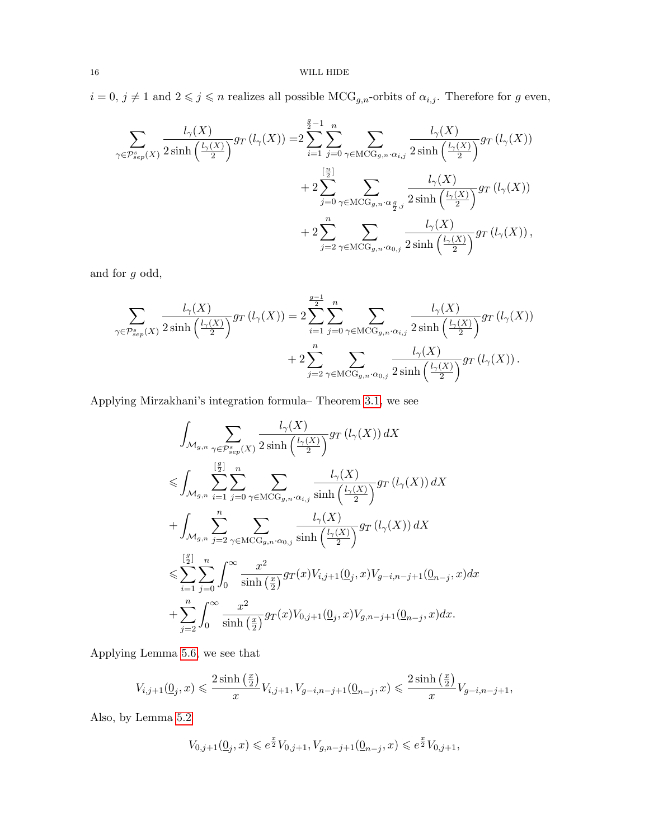$i=0,\,j\neq 1$  and  $2\leqslant j\leqslant n$  realizes all possible  ${\rm MCG}_{g,n}$  -orbits of  $\alpha_{i,j}.$  Therefore for  $g$  even,

$$
\sum_{\gamma \in \mathcal{P}_{sep}^{s}(X)} \frac{l_{\gamma}(X)}{2 \sinh\left(\frac{l_{\gamma}(X)}{2}\right)} gr(l_{\gamma}(X)) = 2 \sum_{i=1}^{\frac{g}{2}-1} \sum_{j=0}^{n} \sum_{\gamma \in \text{MCG}_{g,n} \cdot \alpha_{i,j}} \frac{l_{\gamma}(X)}{2 \sinh\left(\frac{l_{\gamma}(X)}{2}\right)} gr(l_{\gamma}(X)) + 2 \sum_{j=0}^{\left[\frac{n}{2}\right]} \sum_{\gamma \in \text{MCG}_{g,n} \cdot \alpha_{\frac{g}{2},j}} \frac{l_{\gamma}(X)}{2 \sinh\left(\frac{l_{\gamma}(X)}{2}\right)} gr(l_{\gamma}(X)) + 2 \sum_{j=2}^{n} \sum_{\gamma \in \text{MCG}_{g,n} \cdot \alpha_{0,j}} \frac{l_{\gamma}(X)}{2 \sinh\left(\frac{l_{\gamma}(X)}{2}\right)} gr(l_{\gamma}(X)),
$$

and for g odd,

$$
\sum_{\gamma \in \mathcal{P}_{sep}^{s}(X)} \frac{l_{\gamma}(X)}{2 \sinh\left(\frac{l_{\gamma}(X)}{2}\right)} g_T\left(l_{\gamma}(X)\right) = 2 \sum_{i=1}^{\frac{g-1}{2}} \sum_{j=0}^n \sum_{\gamma \in \mathrm{MCG}_{g,n} \cdot \alpha_{i,j}} \frac{l_{\gamma}(X)}{2 \sinh\left(\frac{l_{\gamma}(X)}{2}\right)} g_T\left(l_{\gamma}(X)\right)
$$

$$
+ 2 \sum_{j=2}^n \sum_{\gamma \in \mathrm{MCG}_{g,n} \cdot \alpha_{0,j}} \frac{l_{\gamma}(X)}{2 \sinh\left(\frac{l_{\gamma}(X)}{2}\right)} g_T\left(l_{\gamma}(X)\right).
$$

Applying Mirzakhani's integration formula– Theorem [3.1,](#page-9-0) we see

$$
\int_{\mathcal{M}_{g,n}} \sum_{\gamma \in \mathcal{P}_{sep}^{s}(X)} \frac{l_{\gamma}(X)}{2 \sinh\left(\frac{l_{\gamma}(X)}{2}\right)} g_T\left(l_{\gamma}(X)\right) dX
$$
\n
$$
\leqslant \int_{\mathcal{M}_{g,n}} \sum_{i=1}^{[\frac{g}{2}]} \sum_{j=0}^{n} \sum_{\gamma \in \mathrm{MCG}_{g,n} \cdot \alpha_{i,j}} \frac{l_{\gamma}(X)}{\sinh\left(\frac{l_{\gamma}(X)}{2}\right)} g_T\left(l_{\gamma}(X)\right) dX
$$
\n
$$
+ \int_{\mathcal{M}_{g,n}} \sum_{j=2}^{n} \sum_{\gamma \in \mathrm{MCG}_{g,n} \cdot \alpha_{0,j}} \frac{l_{\gamma}(X)}{\sinh\left(\frac{l_{\gamma}(X)}{2}\right)} g_T\left(l_{\gamma}(X)\right) dX
$$
\n
$$
\leqslant \sum_{i=1}^{[\frac{g}{2}]} \sum_{j=0}^{n} \int_{0}^{\infty} \frac{x^{2}}{\sinh\left(\frac{x}{2}\right)} g_T(x) V_{i,j+1}(\underline{0}_{j}, x) V_{g-i,n-j+1}(\underline{0}_{n-j}, x) dx
$$
\n
$$
+ \sum_{j=2}^{n} \int_{0}^{\infty} \frac{x^{2}}{\sinh\left(\frac{x}{2}\right)} g_T(x) V_{0,j+1}(\underline{0}_{j}, x) V_{g,n-j+1}(\underline{0}_{n-j}, x) dx.
$$

Applying Lemma [5.6,](#page-13-0) we see that

$$
V_{i,j+1}(\underline{0}_j,x)\leqslant \frac{2\sinh\left(\frac{x}{2}\right)}{x}V_{i,j+1}, V_{g-i,n-j+1}(\underline{0}_{n-j},x)\leqslant \frac{2\sinh\left(\frac{x}{2}\right)}{x}V_{g-i,n-j+1},
$$

Also, by Lemma [5.2](#page-12-1)

$$
V_{0,j+1}(\underline{0}_j,x)\leqslant e^{\frac{x}{2}}V_{0,j+1}, V_{g,n-j+1}(\underline{0}_{n-j},x)\leqslant e^{\frac{x}{2}}V_{0,j+1},
$$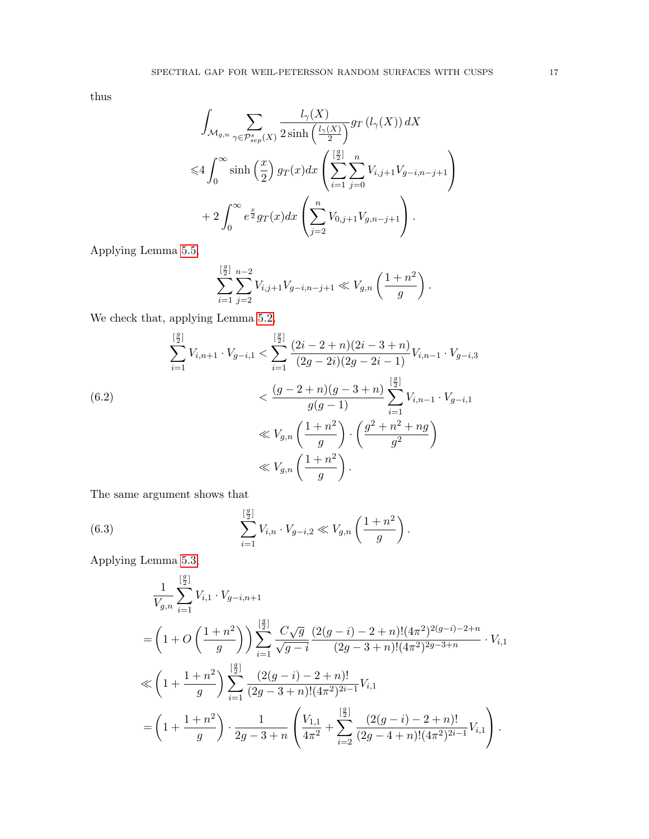thus

$$
\int_{\mathcal{M}_{g,n}} \sum_{\gamma \in \mathcal{P}_{sep}^{s}(X)} \frac{l_{\gamma}(X)}{2 \sinh\left(\frac{l_{\gamma}(X)}{2}\right)} g_T\left(l_{\gamma}(X)\right) dX
$$
\n
$$
\leq 4 \int_0^\infty \sinh\left(\frac{x}{2}\right) g_T(x) dx \left(\sum_{i=1}^{\left[\frac{g}{2}\right]} \sum_{j=0}^n V_{i,j+1} V_{g-i,n-j+1}\right)
$$
\n
$$
+ 2 \int_0^\infty e^{\frac{x}{2}} g_T(x) dx \left(\sum_{j=2}^n V_{0,j+1} V_{g,n-j+1}\right).
$$

Applying Lemma [5.5,](#page-13-1)

$$
\sum_{i=1}^{\left[\frac{g}{2}\right]} \sum_{j=2}^{n-2} V_{i,j+1} V_{g-i,n-j+1} \ll V_{g,n} \left(\frac{1+n^2}{g}\right).
$$

We check that, applying Lemma [5.2,](#page-12-1)

<span id="page-16-0"></span>
$$
\sum_{i=1}^{\left[\frac{g}{2}\right]} V_{i,n+1} \cdot V_{g-i,1} < \sum_{i=1}^{\left[\frac{g}{2}\right]} \frac{(2i-2+n)(2i-3+n)}{(2g-2i)(2g-2i-1)} V_{i,n-1} \cdot V_{g-i,3}
$$
\n
$$
< \frac{(g-2+n)(g-3+n)}{g(g-1)} \sum_{i=1}^{\left[\frac{g}{2}\right]} V_{i,n-1} \cdot V_{g-i,1}
$$
\n
$$
\ll V_{g,n} \left(\frac{1+n^2}{g}\right) \cdot \left(\frac{g^2+n^2+ng}{g^2}\right)
$$
\n
$$
\ll V_{g,n} \left(\frac{1+n^2}{g}\right).
$$

The same argument shows that

(6.3) 
$$
\sum_{i=1}^{\left[\frac{g}{2}\right]} V_{i,n} \cdot V_{g-i,2} \ll V_{g,n} \left(\frac{1+n^2}{g}\right).
$$

Applying Lemma [5.3,](#page-12-0)

<span id="page-16-1"></span>
$$
\frac{1}{V_{g,n}} \sum_{i=1}^{[\frac{g}{2}]} V_{i,1} \cdot V_{g-i,n+1}
$$
\n
$$
= \left(1 + O\left(\frac{1+n^2}{g}\right)\right) \sum_{i=1}^{[\frac{g}{2}]} \frac{C\sqrt{g}}{\sqrt{g-i}} \frac{(2(g-i)-2+n)!(4\pi^2)^{2(g-i)-2+n}}{(2g-3+n)!(4\pi^2)^{2g-3+n}} \cdot V_{i,1}
$$
\n
$$
\ll \left(1 + \frac{1+n^2}{g}\right) \sum_{i=1}^{[\frac{g}{2}]} \frac{(2(g-i)-2+n)!}{(2g-3+n)!(4\pi^2)^{2i-1}} V_{i,1}
$$
\n
$$
= \left(1 + \frac{1+n^2}{g}\right) \cdot \frac{1}{2g-3+n} \left(\frac{V_{1,1}}{4\pi^2} + \sum_{i=2}^{[\frac{g}{2}]} \frac{(2(g-i)-2+n)!}{(2g-4+n)!(4\pi^2)^{2i-1}} V_{i,1}\right).
$$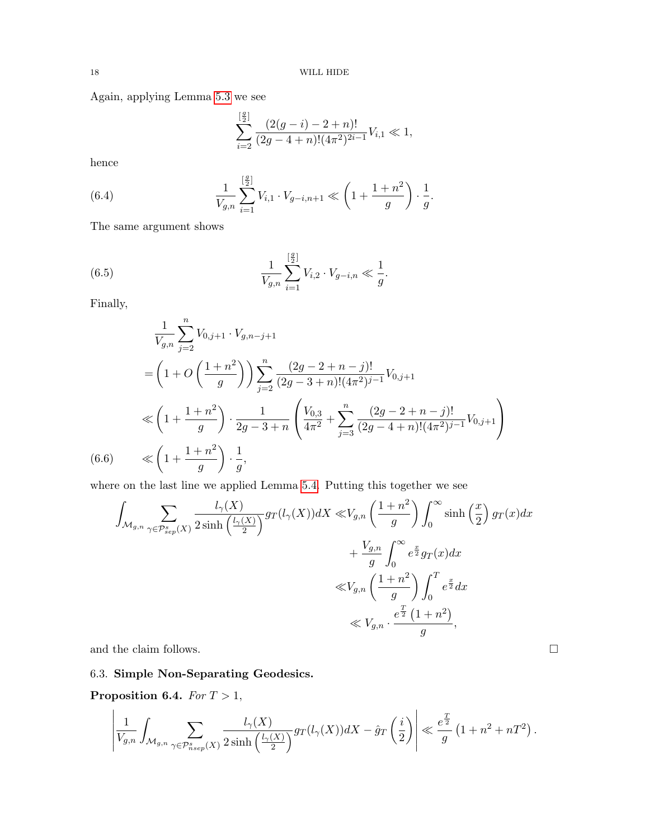Again, applying Lemma [5.3](#page-12-0) we see

$$
\sum_{i=2}^{\left[\frac{g}{2}\right]} \frac{(2(g-i)-2+n)!}{(2g-4+n)!(4\pi^2)^{2i-1}} V_{i,1} \ll 1,
$$

hence

<span id="page-17-1"></span>(6.4) 
$$
\frac{1}{V_{g,n}} \sum_{i=1}^{[\frac{g}{2}]} V_{i,1} \cdot V_{g-i,n+1} \ll \left(1 + \frac{1+n^2}{g}\right) \cdot \frac{1}{g}.
$$

The same argument shows

<span id="page-17-2"></span>(6.5) 
$$
\frac{1}{V_{g,n}} \sum_{i=1}^{[\frac{g}{2}]} V_{i,2} \cdot V_{g-i,n} \ll \frac{1}{g}.
$$

Finally,

$$
\frac{1}{V_{g,n}} \sum_{j=2}^{n} V_{0,j+1} \cdot V_{g,n-j+1}
$$
\n
$$
= \left(1 + O\left(\frac{1+n^2}{g}\right)\right) \sum_{j=2}^{n} \frac{(2g-2+n-j)!}{(2g-3+n)!(4\pi^2)^{j-1}} V_{0,j+1}
$$
\n
$$
\ll \left(1 + \frac{1+n^2}{g}\right) \cdot \frac{1}{2g-3+n} \left(\frac{V_{0,3}}{4\pi^2} + \sum_{j=3}^{n} \frac{(2g-2+n-j)!}{(2g-4+n)!(4\pi^2)^{j-1}} V_{0,j+1}\right)
$$
\n(6.6) 
$$
\ll \left(1 + \frac{1+n^2}{g}\right) \cdot \frac{1}{g},
$$

<span id="page-17-3"></span>where on the last line we applied Lemma [5.4.](#page-12-2) Putting this together we see

$$
\int_{\mathcal{M}_{g,n}} \sum_{\gamma \in \mathcal{P}_{sep}^{s}(X)} \frac{l_{\gamma}(X)}{2 \sinh\left(\frac{l_{\gamma}(X)}{2}\right)} g_T(l_{\gamma}(X)) dX \ll V_{g,n} \left(\frac{1+n^2}{g}\right) \int_0^{\infty} \sinh\left(\frac{x}{2}\right) g_T(x) dx \n+ \frac{V_{g,n}}{g} \int_0^{\infty} e^{\frac{x}{2}} g_T(x) dx \n\ll V_{g,n} \left(\frac{1+n^2}{g}\right) \int_0^T e^{\frac{x}{2}} dx \n\ll V_{g,n} \cdot \frac{e^{\frac{T}{2}} \left(1+n^2\right)}{g},
$$

and the claim follows.  $\hfill \square$ 

# 6.3. Simple Non-Separating Geodesics.

<span id="page-17-0"></span>Proposition 6.4. For  $T > 1$ ,

$$
\left|\frac{1}{V_{g,n}}\int_{\mathcal{M}_{g,n}}\sum_{\gamma\in \mathcal{P}_{nsep}^s(X)}\frac{l_\gamma(X)}{2\sinh\left(\frac{l_\gamma(X)}{2}\right)}gr(l_\gamma(X))dX - \hat{g}_T\left(\frac{i}{2}\right)\right|\ll \frac{e^{\frac{T}{2}}}{g}\left(1+n^2+nT^2\right).
$$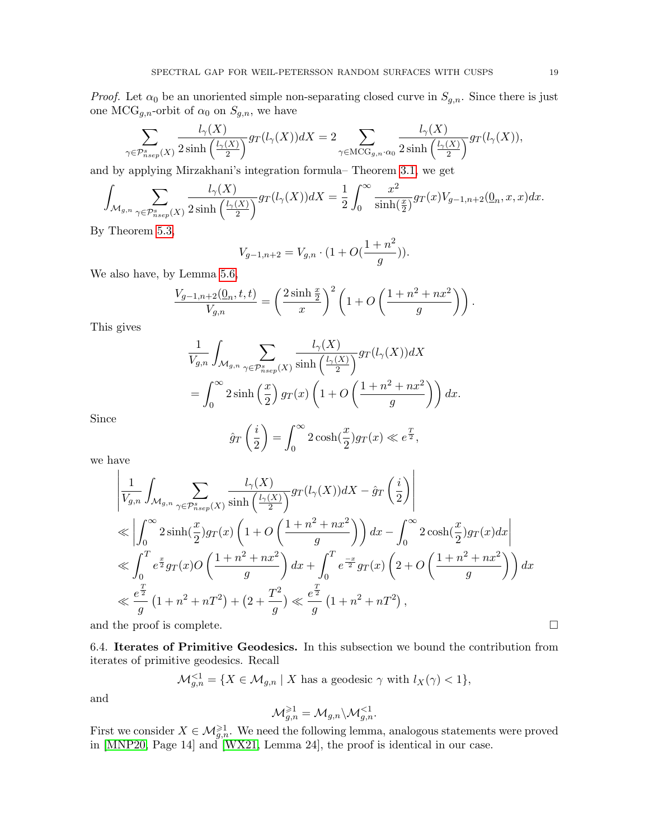*Proof.* Let  $\alpha_0$  be an unoriented simple non-separating closed curve in  $S_{g,n}$ . Since there is just one MCG<sub>g,n</sub>-orbit of  $\alpha_0$  on  $S_{g,n}$ , we have

$$
\sum_{\gamma \in \mathcal{P}_{nsep}^s(X)} \frac{l_{\gamma}(X)}{2 \sinh\left(\frac{l_{\gamma}(X)}{2}\right)} gr(l_{\gamma}(X)) dX = 2 \sum_{\gamma \in \mathrm{MCG}_{g,n} \cdot \alpha_0} \frac{l_{\gamma}(X)}{2 \sinh\left(\frac{l_{\gamma}(X)}{2}\right)} gr(l_{\gamma}(X)),
$$

and by applying Mirzakhani's integration formula– Theorem [3.1,](#page-9-0) we get

$$
\int_{\mathcal{M}_{g,n}} \sum_{\gamma \in \mathcal{P}_{nsep}^s(X)} \frac{l_\gamma(X)}{2 \sinh\left(\frac{l_\gamma(X)}{2}\right)} gr(l_\gamma(X)) dX = \frac{1}{2} \int_0^\infty \frac{x^2}{\sinh\left(\frac{x}{2}\right)} gr(x) V_{g-1,n+2}(\underline{0}_n, x, x) dx.
$$

By Theorem [5.3,](#page-12-0)

$$
V_{g-1,n+2} = V_{g,n} \cdot (1 + O(\frac{1+n^2}{g})).
$$

We also have, by Lemma [5.6,](#page-13-0)

$$
\frac{V_{g-1,n+2}(\mathbf{0}_n, t, t)}{V_{g,n}} = \left(\frac{2\sinh \frac{x}{2}}{x}\right)^2 \left(1 + O\left(\frac{1 + n^2 + nx^2}{g}\right)\right).
$$

This gives

$$
\frac{1}{V_{g,n}} \int_{\mathcal{M}_{g,n}} \sum_{\gamma \in \mathcal{P}_{nsep}^s(X)} \frac{l_{\gamma}(X)}{\sinh\left(\frac{l_{\gamma}(X)}{2}\right)} g_T(l_{\gamma}(X)) dX
$$
\n
$$
= \int_0^\infty 2 \sinh\left(\frac{x}{2}\right) g_T(x) \left(1 + O\left(\frac{1 + n^2 + nx^2}{g}\right)\right) dx.
$$

Since

$$
\hat{g}_T\left(\frac{i}{2}\right) = \int_0^\infty 2\cosh(\frac{x}{2})g_T(x) \ll e^{\frac{T}{2}},
$$

we have

$$
\left| \frac{1}{V_{g,n}} \int_{\mathcal{M}_{g,n}} \sum_{\gamma \in \mathcal{P}_{nsep}^s(X)} \frac{l_{\gamma}(X)}{\sinh\left(\frac{l_{\gamma}(X)}{2}\right)} g_T(l_{\gamma}(X)) dX - \hat{g}_T\left(\frac{i}{2}\right) \right|
$$
  
\n
$$
\ll \left| \int_0^\infty 2 \sinh\left(\frac{x}{2}\right) g_T(x) \left(1 + O\left(\frac{1 + n^2 + nx^2}{g}\right)\right) dx - \int_0^\infty 2 \cosh\left(\frac{x}{2}\right) g_T(x) dx \right|
$$
  
\n
$$
\ll \int_0^T e^{\frac{x}{2}} g_T(x) O\left(\frac{1 + n^2 + nx^2}{g}\right) dx + \int_0^T e^{\frac{-x}{2}} g_T(x) \left(2 + O\left(\frac{1 + n^2 + nx^2}{g}\right)\right) dx
$$
  
\n
$$
\ll \frac{e^{\frac{T}{2}}}{g} \left(1 + n^2 + nT^2\right) + \left(2 + \frac{T^2}{g}\right) \ll \frac{e^{\frac{T}{2}}}{g} \left(1 + n^2 + nT^2\right),
$$

and the proof is complete.  $\Box$ 

6.4. Iterates of Primitive Geodesics. In this subsection we bound the contribution from iterates of primitive geodesics. Recall

$$
\mathcal{M}_{g,n}^{\leq 1} = \{ X \in \mathcal{M}_{g,n} \mid X \text{ has a geodesic } \gamma \text{ with } l_X(\gamma) < 1 \},
$$

and

$$
\mathcal{M}_{g,n}^{\geqslant 1}=\mathcal{M}_{g,n}\backslash \mathcal{M}_{g,n}^{<1}.
$$

First we consider  $X \in \mathcal{M}_{g,n}^{\geq 1}$ . We need the following lemma, analogous statements were proved in [\[MNP20,](#page-34-9) Page 14] and [\[WX21,](#page-35-1) Lemma 24], the proof is identical in our case.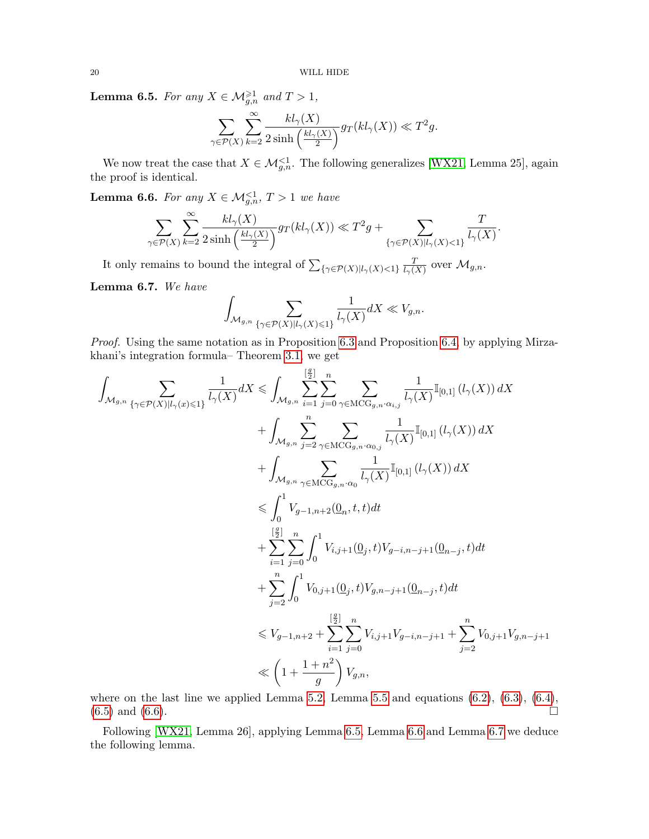<span id="page-19-0"></span>**Lemma 6.5.** For any  $X \in \mathcal{M}_{g,n}^{\geq 1}$  and  $T > 1$ ,

$$
\sum_{\gamma \in \mathcal{P}(X)} \sum_{k=2}^{\infty} \frac{k l_{\gamma}(X)}{2 \sinh\left(\frac{k l_{\gamma}(X)}{2}\right)} g_T(k l_{\gamma}(X)) \ll T^2 g.
$$

We now treat the case that  $X \in \mathcal{M}_{g,n}^{\leq 1}$ . The following generalizes [\[WX21,](#page-35-1) Lemma 25], again the proof is identical.

<span id="page-19-1"></span>**Lemma 6.6.** For any  $X \in \mathcal{M}_{g,n}^{\leq 1}$ ,  $T > 1$  we have

$$
\sum_{\gamma \in \mathcal{P}(X)} \sum_{k=2}^{\infty} \frac{k l_{\gamma}(X)}{2 \sinh\left(\frac{k l_{\gamma}(X)}{2}\right)} g_T(k l_{\gamma}(X)) \ll T^2 g + \sum_{\{\gamma \in \mathcal{P}(X) \mid l_{\gamma}(X) < 1\}} \frac{T}{l_{\gamma}(X)}.
$$

It only remains to bound the integral of  $\sum_{\{\gamma \in \mathcal{P}(X)|l_{\gamma}(X)<1\}} \frac{1}{l_{\gamma}(X)}$  $\frac{T}{l_{\gamma}(X)}$  over  $\mathcal{M}_{g,n}$ .

<span id="page-19-2"></span>Lemma 6.7. We have

$$
\int_{\mathcal{M}_{g,n}} \sum_{\{\gamma \in \mathcal{P}(X) \mid l_{\gamma}(X) \leqslant 1\}} \frac{1}{l_{\gamma}(X)} dX \ll V_{g,n}.
$$

Proof. Using the same notation as in Proposition [6.3](#page-14-1) and Proposition [6.4,](#page-17-0) by applying Mirzakhani's integration formula– Theorem [3.1,](#page-9-0) we get

$$
\begin{aligned} &\int_{\mathcal{M}_{g,n}}\sum_{\{\gamma\in\mathcal{P}(X)|l_{\gamma}(x)\leqslant 1\}}\frac{1}{l_{\gamma}(X)}dX\leqslant \int_{\mathcal{M}_{g,n}}\sum_{i=1}^{[\frac{g}{2}]} \sum_{j=0}^{n}\sum_{\gamma\in\mathrm{MCG}_{g,n}\cdot\alpha_{i,j}}\frac{1}{l_{\gamma}(X)}\mathbb{I}_{[0,1]} \left(l_{\gamma}(X)\right)dX\\ &+\int_{\mathcal{M}_{g,n}} \sum_{j=2}^{n}\sum_{\gamma\in\mathrm{MCG}_{g,n}\cdot\alpha_{0,j}}\frac{1}{l_{\gamma}(X)}\mathbb{I}_{[0,1]} \left(l_{\gamma}(X)\right)dX\\ &\leqslant \int_{0}^{1}V_{g-1,n+2}(\underline{\mathrm{O}}_{g,n}\cdot\mathrm{co}}\frac{1}{l_{\gamma}(X)}\mathbb{I}_{[0,1]}\left(l_{\gamma}(X)\right)dX\\ &\leqslant \int_{0}^{[\frac{g}{2}]} V_{g-1,n+2}(\underline{\mathrm{O}}_{n},t,t)dt\\ &+\sum_{i=1}^{[\frac{g}{2}]} \sum_{j=0}^{n}\int_{0}^{1}V_{i,j+1}(\underline{\mathrm{O}}_{j},t)V_{g-i,n-j+1}(\underline{\mathrm{O}}_{n-j},t)dt\\ &+\sum_{j=2}^{n}\int_{0}^{1}V_{0,j+1}(\underline{\mathrm{O}}_{j},t)V_{g,n-j+1}(\underline{\mathrm{O}}_{n-j},t)dt\\ &\leqslant V_{g-1,n+2}+\sum_{i=1}^{[\frac{g}{2}]} \sum_{j=0}^{n}V_{i,j+1}V_{g-i,n-j+1}+\sum_{j=2}^{n}V_{0,j+1}V_{g,n-j+1}\\ &\ll \left(1+\frac{1+n^{2}}{g}\right)V_{g,n}, \end{aligned}
$$

where on the last line we applied Lemma [5.2,](#page-12-1) Lemma [5.5](#page-13-1) and equations  $(6.2)$ ,  $(6.3)$ ,  $(6.4)$ ,  $(6.5)$  and  $(6.6)$ .

Following [\[WX21,](#page-35-1) Lemma 26], applying Lemma [6.5,](#page-19-0) Lemma [6.6](#page-19-1) and Lemma [6.7](#page-19-2) we deduce the following lemma.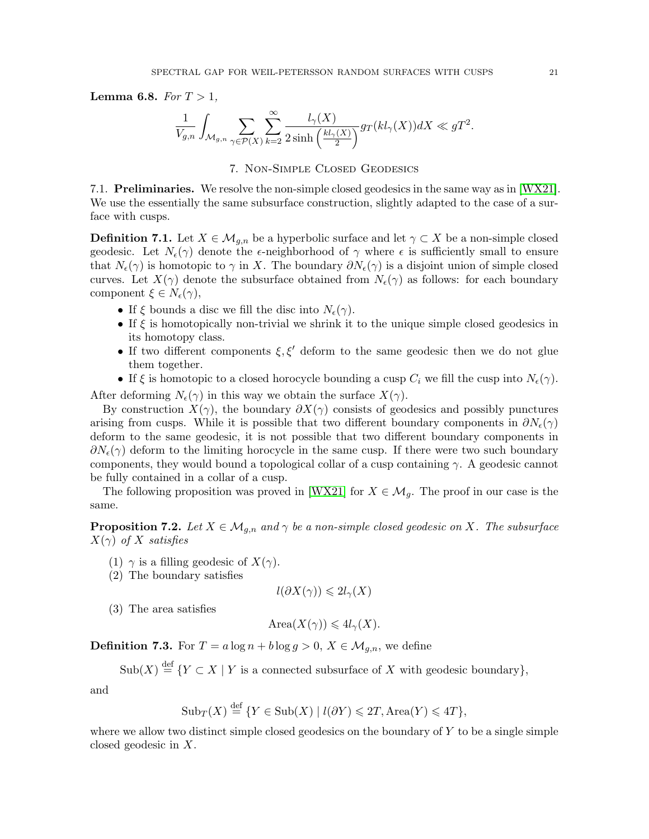**Lemma 6.8.** For  $T > 1$ ,

$$
\frac{1}{V_{g,n}}\int_{\mathcal{M}_{g,n}}\sum_{\gamma\in \mathcal{P}(X)}\sum_{k=2}^{\infty}\frac{l_{\gamma}(X)}{2\sinh\left(\frac{kl_{\gamma}(X)}{2}\right)}g_T(kl_{\gamma}(X))dX\ll gT^2.
$$

# 7. Non-Simple Closed Geodesics

7.1. Preliminaries. We resolve the non-simple closed geodesics in the same way as in [\[WX21\]](#page-35-1). We use the essentially the same subsurface construction, slightly adapted to the case of a surface with cusps.

**Definition 7.1.** Let  $X \in \mathcal{M}_{g,n}$  be a hyperbolic surface and let  $\gamma \subset X$  be a non-simple closed geodesic. Let  $N_{\epsilon}(\gamma)$  denote the  $\epsilon$ -neighborhood of  $\gamma$  where  $\epsilon$  is sufficiently small to ensure that  $N_{\epsilon}(\gamma)$  is homotopic to  $\gamma$  in X. The boundary  $\partial N_{\epsilon}(\gamma)$  is a disjoint union of simple closed curves. Let  $X(\gamma)$  denote the subsurface obtained from  $N_{\epsilon}(\gamma)$  as follows: for each boundary component  $\xi \in N_{\epsilon}(\gamma)$ ,

- If  $\xi$  bounds a disc we fill the disc into  $N_{\epsilon}(\gamma)$ .
- If  $\xi$  is homotopically non-trivial we shrink it to the unique simple closed geodesics in its homotopy class.
- If two different components  $\xi, \xi'$  deform to the same geodesic then we do not glue them together.
- If  $\xi$  is homotopic to a closed horocycle bounding a cusp  $C_i$  we fill the cusp into  $N_{\epsilon}(\gamma)$ .

After deforming  $N_{\epsilon}(\gamma)$  in this way we obtain the surface  $X(\gamma)$ .

By construction  $X(\gamma)$ , the boundary  $\partial X(\gamma)$  consists of geodesics and possibly punctures arising from cusps. While it is possible that two different boundary components in  $\partial N_{\epsilon}(\gamma)$ deform to the same geodesic, it is not possible that two different boundary components in  $\partial N_{\epsilon}(\gamma)$  deform to the limiting horocycle in the same cusp. If there were two such boundary components, they would bound a topological collar of a cusp containing  $\gamma$ . A geodesic cannot be fully contained in a collar of a cusp.

The following proposition was proved in [\[WX21\]](#page-35-1) for  $X \in \mathcal{M}_q$ . The proof in our case is the same.

<span id="page-20-0"></span>**Proposition 7.2.** Let  $X \in \mathcal{M}_{q,n}$  and  $\gamma$  be a non-simple closed geodesic on X. The subsurface  $X(\gamma)$  of X satisfies

- (1)  $\gamma$  is a filling geodesic of  $X(\gamma)$ .
- (2) The boundary satisfies

$$
l(\partial X(\gamma)) \leqslant 2l_{\gamma}(X)
$$

(3) The area satisfies

$$
Area(X(\gamma)) \leq 4l_{\gamma}(X).
$$

**Definition 7.3.** For  $T = a \log n + b \log g > 0$ ,  $X \in \mathcal{M}_{g,n}$ , we define

 $\text{Sub}(X) \stackrel{\text{def}}{=} \{ Y \subset X \mid Y \text{ is a connected subsurface of } X \text{ with geodesic boundary} \},$ 

and

$$
Sub_T(X) \stackrel{\text{def}}{=} \{ Y \in Sub(X) \mid l(\partial Y) \leq 2T, \text{Area}(Y) \leq 4T \},
$$

where we allow two distinct simple closed geodesics on the boundary of  $Y$  to be a single simple closed geodesic in X.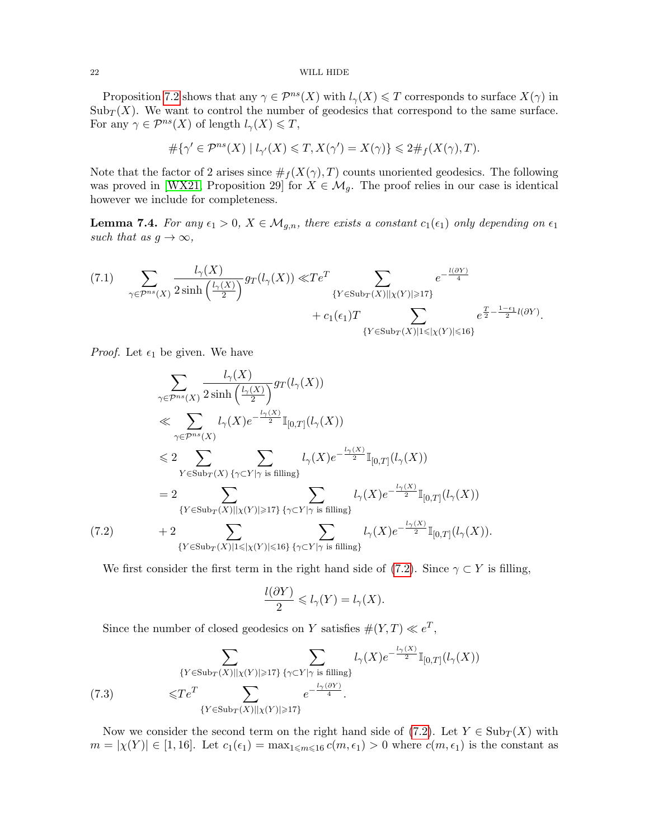#### 22 WILL HIDE

Proposition [7.2](#page-20-0) shows that any  $\gamma \in \mathcal{P}^{ns}(X)$  with  $l_{\gamma}(X) \leq T$  corresponds to surface  $X(\gamma)$  in  $\text{Sub}_T(X)$ . We want to control the number of geodesics that correspond to the same surface. For any  $\gamma \in \mathcal{P}^{ns}(X)$  of length  $l_{\gamma}(X) \leq T$ ,

$$
\#\{\gamma' \in \mathcal{P}^{ns}(X) \mid l_{\gamma'}(X) \leqslant T, X(\gamma') = X(\gamma)\} \leqslant 2\#_f(X(\gamma), T).
$$

Note that the factor of 2 arises since  $\#_f(X(\gamma),T)$  counts unoriented geodesics. The following was proved in [\[WX21,](#page-35-1) Proposition 29] for  $X \in \mathcal{M}_g$ . The proof relies in our case is identical however we include for completeness.

<span id="page-21-3"></span>**Lemma 7.4.** For any  $\epsilon_1 > 0$ ,  $X \in \mathcal{M}_{g,n}$ , there exists a constant  $c_1(\epsilon_1)$  only depending on  $\epsilon_1$ such that as  $g \to \infty$ ,

<span id="page-21-2"></span>
$$
(7.1) \quad \sum_{\gamma \in \mathcal{P}^{ns}(X)} \frac{l_{\gamma}(X)}{2 \sinh\left(\frac{l_{\gamma}(X)}{2}\right)} gr(l_{\gamma}(X)) \ll T e^T \sum_{\{Y \in \text{Sub}_T(X) \mid \left| \chi(Y) \right| \geq 17\}} e^{-\frac{l(\partial Y)}{4}} \\ + c_1(\epsilon_1) T \sum_{\{Y \in \text{Sub}_T(X) \mid \left| \leq \left| \chi(Y) \right| \leq 16\}} e^{\frac{T}{2} - \frac{1 - \epsilon_1}{2} l(\partial Y)}.
$$

*Proof.* Let  $\epsilon_1$  be given. We have

$$
\sum_{\gamma \in \mathcal{P}^{ns}(X)} \frac{l_{\gamma}(X)}{2 \sinh\left(\frac{l_{\gamma}(X)}{2}\right)} gr(l_{\gamma}(X))
$$
\n
$$
\ll \sum_{\gamma \in \mathcal{P}^{ns}(X)} l_{\gamma}(X) e^{-\frac{l_{\gamma}(X)}{2}} \mathbb{I}_{[0,T]}(l_{\gamma}(X))
$$
\n
$$
\leq 2 \sum_{Y \in \text{Sub}_{T}(X)} \sum_{\{\gamma \in Y|\gamma \text{ is filling}\}} l_{\gamma}(X) e^{-\frac{l_{\gamma}(X)}{2}} \mathbb{I}_{[0,T]}(l_{\gamma}(X))
$$
\n
$$
= 2 \sum_{\{Y \in \text{Sub}_{T}(X)| | \chi(Y)| \geq 17\}} \sum_{\{\gamma \in Y|\gamma \text{ is filling}\}} l_{\gamma}(X) e^{-\frac{l_{\gamma}(X)}{2}} \mathbb{I}_{[0,T]}(l_{\gamma}(X))
$$
\n(7.2)\n
$$
+ 2 \sum_{\{Y \in \text{Sub}_{T}(X)| 1 \leq |\chi(Y)| \leq 16\}} \sum_{\{\gamma \in Y|\gamma \text{ is filling}\}} l_{\gamma}(X) e^{-\frac{l_{\gamma}(X)}{2}} \mathbb{I}_{[0,T]}(l_{\gamma}(X)).
$$

<span id="page-21-0"></span>We first consider the first term in the right hand side of [\(7.2\)](#page-21-0). Since  $\gamma \subset Y$  is filling,

$$
\frac{l(\partial Y)}{2} \leqslant l_{\gamma}(Y) = l_{\gamma}(X).
$$

Since the number of closed geodesics on Y satisfies  $\#(Y,T) \ll e^T$ ,

<span id="page-21-1"></span>(7.3) 
$$
\sum_{\{Y \in \text{Sub}_T(X) \mid |X(Y)| \ge 17\}} \sum_{\{\gamma \subset Y \mid \gamma \text{ is filling}\}} l_{\gamma}(X) e^{-\frac{l_{\gamma}(X)}{2}} \mathbb{I}_{[0,T]}(l_{\gamma}(X))
$$

$$
\leq T e^T \sum_{\{Y \in \text{Sub}_T(X) \mid |X(Y)| \ge 17\}} e^{-\frac{l_{\gamma}(\partial Y)}{4}}.
$$

Now we consider the second term on the right hand side of [\(7.2\)](#page-21-0). Let  $Y \in Sub_{T}(X)$  with  $m = |\chi(Y)| \in [1, 16]$ . Let  $c_1(\epsilon_1) = \max_{1 \leq m \leq 16} c(m, \epsilon_1) > 0$  where  $c(m, \epsilon_1)$  is the constant as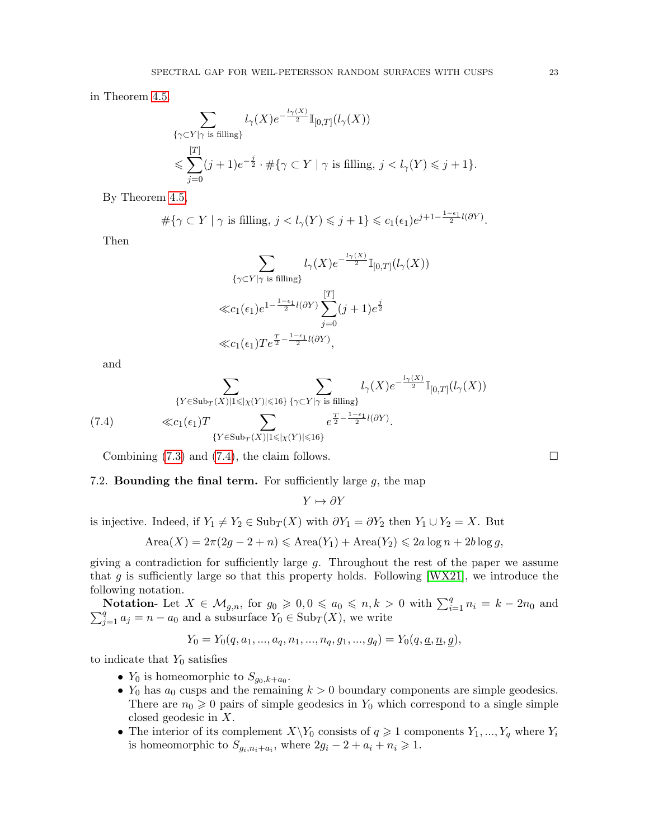in Theorem [4.5.](#page-12-3)

$$
\sum_{\substack{\{\gamma\subset Y|\gamma \text{ is filling}\} \\ \text{ s.t. } \\ j=0}} l_\gamma(X) e^{-\frac{l_\gamma(X)}{2}} \mathbb{I}_{[0,T]}(l_\gamma(X))
$$
\n
$$
\leqslant \sum_{j=0}^{[T]} (j+1) e^{-\frac{j}{2}} \cdot \#\{\gamma \subset Y \mid \gamma \text{ is filling, } j < l_\gamma(Y) \leqslant j+1\}.
$$

By Theorem [4.5,](#page-12-3)

$$
\#\{\gamma \subset Y \mid \gamma \text{ is filling, } j < l_{\gamma}(Y) \leqslant j+1\} \leqslant c_1(\epsilon_1)e^{j+1-\frac{1-\epsilon_1}{2}l(\partial Y)}.
$$

Then

$$
\sum_{\{\gamma \subset Y \mid \gamma \text{ is filling}\}} l_{\gamma}(X)e^{-\frac{l_{\gamma}(X)}{2}}\mathbb{I}_{[0,T]}(l_{\gamma}(X))
$$
  

$$
\ll c_{1}(\epsilon_{1})e^{1-\frac{1-\epsilon_{1}}{2}l(\partial Y)}\sum_{j=0}^{[T]}(j+1)e^{\frac{j}{2}}
$$
  

$$
\ll c_{1}(\epsilon_{1})Te^{\frac{T}{2}-\frac{1-\epsilon_{1}}{2}l(\partial Y)},
$$

and

<span id="page-22-0"></span>
$$
\sum_{\{Y \in \text{Sub}_T(X) \mid 1 \leq |\chi(Y)| \leq 16\}} \sum_{\{\gamma \subset Y \mid \gamma \text{ is filling}\}} l_{\gamma}(X) e^{-\frac{l_{\gamma}(X)}{2}} \mathbb{I}_{[0,T]}(l_{\gamma}(X))
$$
\n
$$
\ll c_1(\epsilon_1) T \sum_{\{Y \in \text{Sub}_T(X) \mid 1 \leq |\chi(Y)| \leq 16\}} e^{\frac{T}{2} - \frac{1 - \epsilon_1}{2} l(\partial Y)}.
$$

Combining  $(7.3)$  and  $(7.4)$ , the claim follows.

### 7.2. **Bounding the final term.** For sufficiently large  $g$ , the map

 $Y \mapsto \partial Y$ 

is injective. Indeed, if  $Y_1 \neq Y_2 \in Sub_T(X)$  with  $\partial Y_1 = \partial Y_2$  then  $Y_1 \cup Y_2 = X$ . But

 $Area(X) = 2\pi(2g - 2 + n) \leq Area(Y_1) + Area(Y_2) \leq 2a \log n + 2b \log g$ ,

giving a contradiction for sufficiently large g. Throughout the rest of the paper we assume that  $g$  is sufficiently large so that this property holds. Following [\[WX21\]](#page-35-1), we introduce the following notation.

Notation-Let  $X \in \mathcal{M}_{g,n}$ , for  $g_0 \geqslant 0, 0 \leqslant a_0 \leqslant n, k > 0$  with  $\sum_{i=1}^{q} n_i = k - 2n_0$  and  $\sum_{j=1}^{q} a_j = n - a_0$  and a subsurface  $Y_0 \in \text{Sub}_T(X)$ , we write

$$
Y_0 = Y_0(q, a_1, ..., a_q, n_1, ..., n_q, g_1, ..., g_q) = Y_0(q, \underline{a}, \underline{n}, g),
$$

to indicate that  $Y_0$  satisfies

- $Y_0$  is homeomorphic to  $S_{g_0,k+a_0}$ .
- $Y_0$  has  $a_0$  cusps and the remaining  $k > 0$  boundary components are simple geodesics. There are  $n_0 \geq 0$  pairs of simple geodesics in  $Y_0$  which correspond to a single simple closed geodesic in X.
- The interior of its complement  $X\Y_0$  consists of  $q \geq 1$  components  $Y_1, ..., Y_q$  where  $Y_i$ is homeomorphic to  $S_{g_i,n_i+a_i}$ , where  $2g_i - 2 + a_i + n_i \geq 1$ .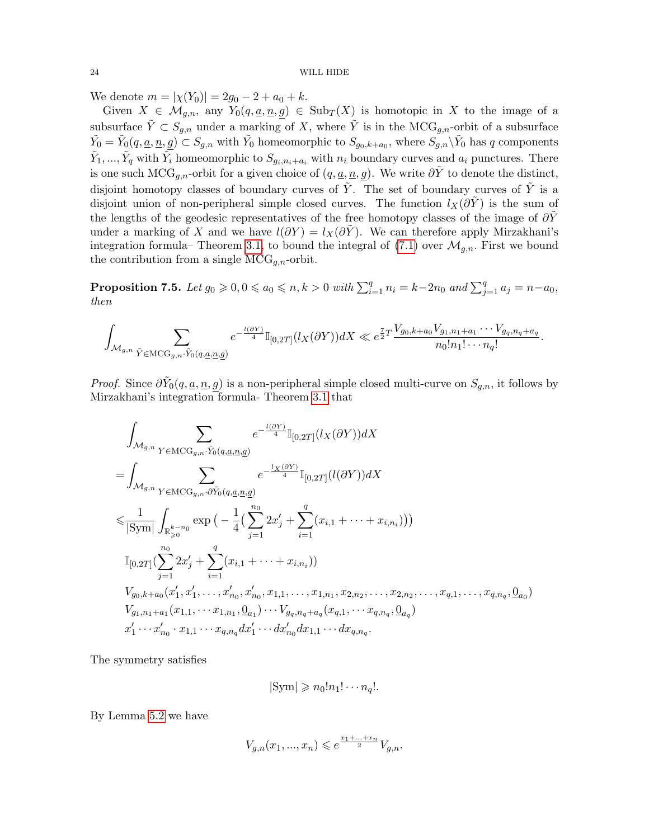We denote  $m = |\chi(Y_0)| = 2g_0 - 2 + a_0 + k$ .

Given  $X \in \mathcal{M}_{q,n}$ , any  $Y_0(q, \underline{a}, \underline{n}, g) \in Sub_T(X)$  is homotopic in X to the image of a subsurface  $\tilde{Y} \subset S_{g,n}$  under a marking of X, where  $\tilde{Y}$  is in the MCG<sub>g,n</sub>-orbit of a subsurface  $\tilde{Y}_0 = \tilde{Y}_0(q, \underline{a}, \underline{n}, \underline{g}) \subset S_{g,n}$  with  $\tilde{Y}_0$  homeomorphic to  $S_{g_0,k+a_0}$ , where  $S_{g,n} \backslash \tilde{Y}_0$  has q components  $\tilde{Y}_1, ..., \tilde{Y}_q$  with  $\tilde{Y}_i$  homeomorphic to  $S_{g_i, n_i + a_i}$  with  $n_i$  boundary curves and  $a_i$  punctures. There is one such MCG<sub>g,n</sub>-orbit for a given choice of  $(q, \underline{a}, \underline{n}, g)$ . We write  $\partial \tilde{Y}$  to denote the distinct, disjoint homotopy classes of boundary curves of  $\tilde{Y}$ . The set of boundary curves of  $\tilde{Y}$  is a disjoint union of non-peripheral simple closed curves. The function  $l_X(\partial Y)$  is the sum of the lengths of the geodesic representatives of the free homotopy classes of the image of  $\partial Y$ under a marking of X and we have  $l(\partial Y) = l_X(\partial \tilde{Y})$ . We can therefore apply Mirzakhani's integration formula– Theorem [3.1,](#page-9-0) to bound the integral of [\(7.1\)](#page-21-2) over  $\mathcal{M}_{q,n}$ . First we bound the contribution from a single  $\text{MCG}_{q,n}$ -orbit.

<span id="page-23-0"></span>**Proposition 7.5.** Let  $g_0 \geqslant 0, 0 \leqslant a_0 \leqslant n, k > 0$  with  $\sum_{i=1}^q n_i = k - 2n_0$  and  $\sum_{j=1}^q a_j = n - a_0$ , then

$$
\int_{\mathcal{M}_{g,n}} \sum_{\tilde{Y} \in \mathrm{MCG}_{g,n} \cdot \tilde{Y}_0(q,\underline{a},\underline{n},\underline{g})} e^{-\frac{l(\partial Y)}{4}} \mathbb{I}_{[0,2T]}(l_X(\partial Y)) dX \ll e^{\frac{7}{2}T} \frac{V_{g_0,k+a_0} V_{g_1,n_1+a_1} \cdots V_{g_q,n_q+a_q}}{n_0! n_1! \cdots n_q!}.
$$

*Proof.* Since  $\partial Y_0(q, \underline{a}, \underline{n}, g)$  is a non-peripheral simple closed multi-curve on  $S_{g,n}$ , it follows by Mirzakhani's integration formula- Theorem [3.1](#page-9-0) that

$$
\int_{\mathcal{M}_{g,n}} \sum_{Y \in \mathrm{MCG}_{g,n} \cdot \tilde{Y}_0(q,\underline{a},\underline{n},\underline{g})} e^{-\frac{l(\partial Y)}{4}} \mathbb{I}_{[0,2T]}(l_X(\partial Y)) dX \n= \int_{\mathcal{M}_{g,n}} \sum_{Y \in \mathrm{MCG}_{g,n} \cdot \partial \tilde{Y}_0(q,\underline{a},\underline{n},\underline{g})} e^{-\frac{l_X(\partial Y)}{4}} \mathbb{I}_{[0,2T]}(l(\partial Y)) dX \n\leq \frac{1}{|\mathrm{Sym}|} \int_{\mathbb{R}_{\geq 0}^{k-n_0}} \exp\big(-\frac{1}{4}\big(\sum_{j=1}^{n_0} 2x'_j + \sum_{i=1}^q (x_{i,1} + \dots + x_{i,n_i})\big)\big) \n\mathbb{I}_{[0,2T]}(\sum_{j=1}^{n_0} 2x'_j + \sum_{i=1}^q (x_{i,1} + \dots + x_{i,n_i})) \n\int_{g_0, k+a_0} \left(x'_1, x'_1, \dots, x'_{n_0}, x'_{n_0}, x_{1,1}, \dots, x_{1,n_1}, x_{2,n_2}, \dots, x_{2,n_2}, \dots, x_{q,1}, \dots, x_{q,n_q}, \underline{0}_{a_0}\big) \n\int_{g_1, n_1+a_1} \big(x_{1,1}, \dots, x_{1,n_1}, \underline{0}_{a_1}\big) \dots \int_{g_q, n_q+a_q} \big(x_{q,1}, \dots, x_{q,n_q}, \underline{0}_{a_q}\big) \n\int_{g'_1} \dots \int_{n_0}^{s'} \cdot x_{1,1} \dots x_{q,n_q} dx'_1 \dots dx'_{n_0} dx_{1,1} \dots dx_{q,n_q}.
$$

The symmetry satisfies

$$
|\mathrm{Sym}| \geqslant n_0! n_1! \cdots n_q!.
$$

By Lemma [5.2](#page-12-1) we have

$$
V_{g,n}(x_1,...,x_n)\leqslant e^{\frac{x_1+...+x_n}{2}}V_{g,n}.
$$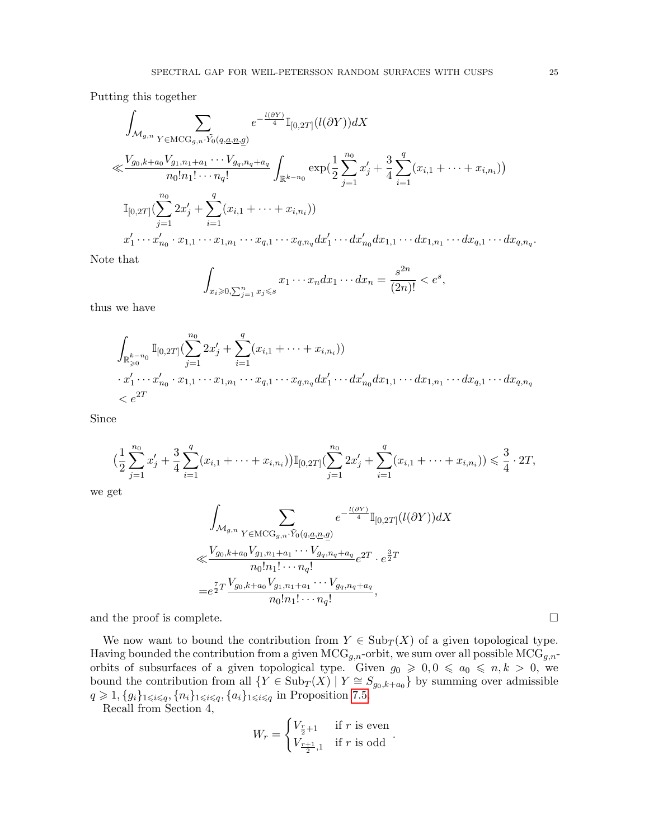Putting this together

$$
\int_{\mathcal{M}_{g,n}} \sum_{Y \in \mathrm{MCG}_{g,n} \cdot \tilde{Y}_0(q,\underline{a},\underline{n},\underline{g})} e^{-\frac{l(\partial Y)}{4}} \mathbb{I}_{[0,2T]}(l(\partial Y)) dX
$$
\n
$$
\ll \frac{V_{g_0,k+a_0} V_{g_1,n_1+a_1} \cdots V_{g_q,n_q+a_q}}{n_0! n_1! \cdots n_q!} \int_{\mathbb{R}^{k-n_0}} \exp(\frac{1}{2} \sum_{j=1}^{n_0} x'_j + \frac{3}{4} \sum_{i=1}^q (x_{i,1} + \cdots + x_{i,n_i}))
$$
\n
$$
\mathbb{I}_{[0,2T]}(\sum_{j=1}^{n_0} 2x'_j + \sum_{i=1}^q (x_{i,1} + \cdots + x_{i,n_i}))
$$
\n
$$
x'_1 \cdots x'_{n_0} \cdot x_{1,1} \cdots x_{1,n_1} \cdots x_{q,1} \cdots x_{q,n_q} dx'_1 \cdots dx'_{n_0} dx_{1,1} \cdots dx_{1,n_1} \cdots dx_{q,1} \cdots dx_{q,n_q}
$$

Note that

$$
\int_{x_i \geqslant 0, \sum_{j=1}^n x_j \leqslant s} x_1 \cdots x_n dx_1 \cdots dx_n = \frac{s^{2n}}{(2n)!} < e^s,
$$

thus we have

$$
\int_{\mathbb{R}_{\geqslant 0}^{k-n_0}} \mathbb{I}_{[0,2T]}(\sum_{j=1}^{n_0} 2x'_j + \sum_{i=1}^q (x_{i,1} + \dots + x_{i,n_i}))
$$
\n
$$
\cdot x'_1 \cdots x'_{n_0} \cdot x_{1,1} \cdots x_{1,n_1} \cdots x_{q,1} \cdots x_{q,n_q} dx'_1 \cdots dx'_{n_0} dx_{1,1} \cdots dx_{1,n_1} \cdots dx_{q,1} \cdots dx_{q,n_q}
$$
\n
$$
< e^{2T}
$$

Since

$$
\left(\frac{1}{2}\sum_{j=1}^{n_0}x'_j+\frac{3}{4}\sum_{i=1}^q(x_{i,1}+\cdots+x_{i,n_i})\right)\mathbb{I}_{[0,2T]}(\sum_{j=1}^{n_0}2x'_j+\sum_{i=1}^q(x_{i,1}+\cdots+x_{i,n_i}))\leq \frac{3}{4}\cdot 2T,
$$

we get

$$
\int_{\mathcal{M}_{g,n}} \sum_{Y \in \mathrm{MCG}_{g,n} \cdot \tilde{Y}_0(q,\underline{a},\underline{n},\underline{g})} e^{-\frac{l(\partial Y)}{4}} \mathbb{I}_{[0,2T]}(l(\partial Y)) dX
$$
\n
$$
\ll \frac{V_{g_0,k+a_0} V_{g_1,n_1+a_1} \cdots V_{g_q,n_q+a_q}}{n_0! n_1! \cdots n_q!} e^{2T} \cdot e^{\frac{3}{2}T}
$$
\n
$$
= e^{\frac{7}{2}T} \frac{V_{g_0,k+a_0} V_{g_1,n_1+a_1} \cdots V_{g_q,n_q+a_q}}{n_0! n_1! \cdots n_q!},
$$

and the proof is complete.  $\Box$ 

We now want to bound the contribution from  $Y \in Sub_T(X)$  of a given topological type. Having bounded the contribution from a given  $\mathrm{MCG}_{g,n}$ -orbit, we sum over all possible  $\mathrm{MCG}_{g,n}$ orbits of subsurfaces of a given topological type. Given  $g_0 \geq 0, 0 \leq a_0 \leq n, k > 0$ , we bound the contribution from all  $\{Y \in \text{Sub}_T(X) \mid Y \cong S_{g_0,k+a_0}\}$  by summing over admissible  $q \geq 1, \{g_i\}_{1 \leq i \leq q}, \{n_i\}_{1 \leq i \leq q}, \{a_i\}_{1 \leq i \leq q}$  in Proposition [7.5.](#page-23-0)

Recall from Section 4,

$$
W_r = \begin{cases} V_{\frac{r}{2}+1} & \text{if } r \text{ is even} \\ V_{\frac{r+1}{2},1} & \text{if } r \text{ is odd} \end{cases}.
$$

.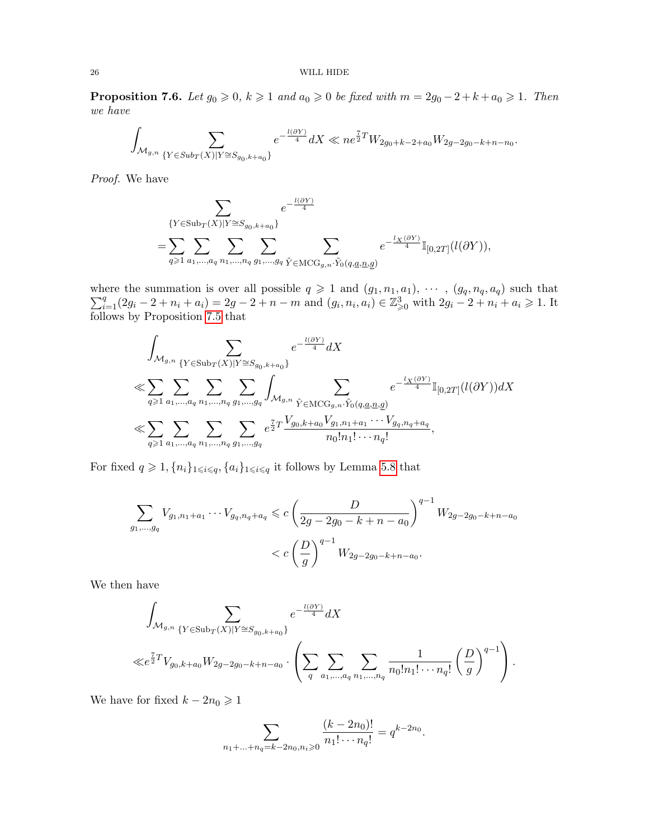<span id="page-25-0"></span>**Proposition 7.6.** Let  $g_0 \ge 0$ ,  $k \ge 1$  and  $a_0 \ge 0$  be fixed with  $m = 2g_0 - 2 + k + a_0 \ge 1$ . Then we have

$$
\int_{\mathcal{M}_{g,n}}\sum_{\{Y\in Sub_{T}(X)|Y\cong S_{g_{0},k+a_{0}}\}}e^{-\frac{l(\partial Y)}{4}}dX\ll ne^{\frac{7}{2}T}W_{2g_{0}+k-2+a_{0}}W_{2g-2g_{0}-k+n-n_{0}}.
$$

Proof. We have

$$
\sum_{\{Y\in \mathrm{Sub}_T(X)|Y\cong S_{g_0,k+a_0}\}}e^{-\frac{l(\partial Y)}{4}}\\=\sum_{q\geqslant 1}\sum_{a_1,\ldots,a_q}\sum_{n_1,\ldots,n_q}\sum_{g_1,\ldots,g_q}\sum_{\tilde{Y}\in \mathrm{MCG}_{g,n}.\tilde{Y}_0(q,\underline{a},\underline{n},\underline{g})}e^{-\frac{l_X(\partial Y)}{4}}\mathbb{I}_{[0,2T]}(l(\partial Y)),
$$

 $\sum$ where the summation is over all possible  $q \geq 1$  and  $(g_1, n_1, a_1), \cdots, (g_q, n_q, a_q)$  such that  $\sum_{i=1}^q (2g_i - 2 + n_i + a_i) = 2g - 2 + n - m$  and  $(g_i, n_i, a_i) \in \mathbb{Z}_{\geqslant 0}^3$  with  $2g_i - 2 + n_i + a_i \geqslant 1$ . It follows by Proposition [7.5](#page-23-0) that

$$
\int_{\mathcal{M}_{g,n}} \sum_{\{Y \in \text{Sub}_T(X) | Y \cong S_{g_0,k+a_0}\}} e^{-\frac{l(\partial Y)}{4}} dX
$$
\n
$$
\ll \sum_{q \geqslant 1} \sum_{a_1, ..., a_q} \sum_{n_1, ..., n_q} \sum_{g_1, ..., g_q} \int_{\mathcal{M}_{g,n}} \sum_{\tilde{Y} \in \text{MCG}_{g,n}.\tilde{Y}_0(q,\underline{a},\underline{n},\underline{g})} e^{-\frac{l_X(\partial Y)}{4}} \mathbb{I}_{[0,2T]}(l(\partial Y)) dX
$$
\n
$$
\ll \sum_{q \geqslant 1} \sum_{a_1, ..., a_q} \sum_{n_1, ..., n_q} \sum_{g_1, ..., g_q} e^{\frac{\tau}{2}T} \frac{V_{g_0,k+a_0} V_{g_1,n_1+a_1} \cdots V_{g_q,n_q+a_q}}{n_0! n_1! \cdots n_q!},
$$

For fixed  $q\geqslant 1, \{n_i\}_{1\leqslant i\leqslant q}, \{a_i\}_{1\leqslant i\leqslant q}$  it follows by Lemma [5.8](#page-13-2) that

$$
\sum_{g_1,\dots,g_q} V_{g_1,n_1+a_1}\cdots V_{g_q,n_q+a_q} \leqslant c \left( \frac{D}{2g-2g_0-k+n-a_0} \right)^{q-1} W_{2g-2g_0-k+n-a_0}
$$
  

$$
< c \left( \frac{D}{g} \right)^{q-1} W_{2g-2g_0-k+n-a_0}.
$$

We then have

$$
\int_{\mathcal{M}_{g,n}} \sum_{\{Y \in \text{Sub}_T(X) \mid Y \cong S_{g_0,k+a_0}\}} e^{-\frac{l(\partial Y)}{4}} dX
$$
\n
$$
\ll e^{\frac{7}{2}T} V_{g_0,k+a_0} W_{2g-2g_0-k+n-a_0} \cdot \left( \sum_q \sum_{a_1,\dots,a_q} \sum_{n_1,\dots,n_q} \frac{1}{n_0! n_1! \cdots n_q!} \left( \frac{D}{g} \right)^{q-1} \right).
$$

We have for fixed  $k - 2n_0 \geq 1$ 

$$
\sum_{n_1+\ldots+n_q=k-2n_0,n_i\geqslant 0}\frac{(k-2n_0)!}{n_1!\cdots n_q!}=q^{k-2n_0}.
$$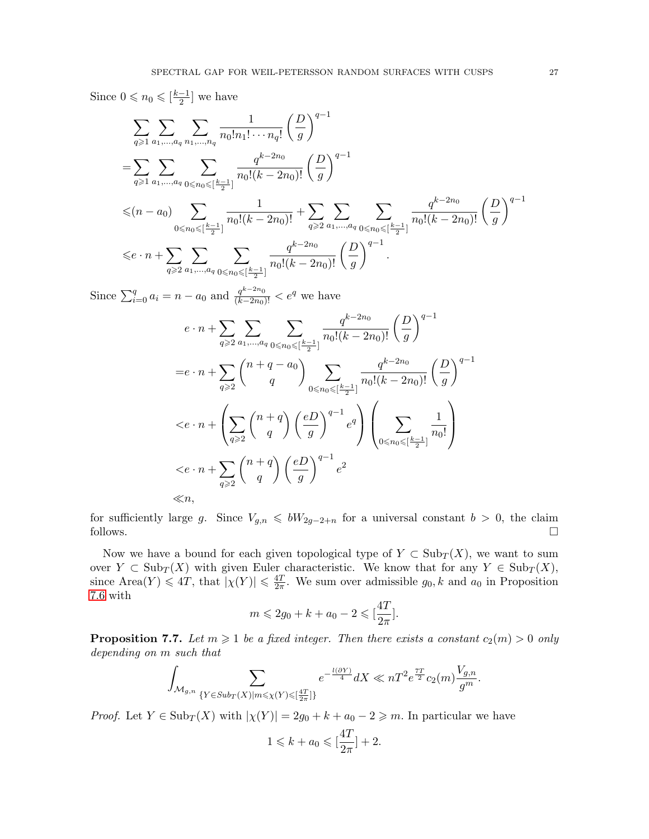Since  $0 \leqslant n_0 \leqslant \lfloor \frac{k-1}{2} \rfloor$  $\frac{-1}{2}$  we have

$$
\sum_{q \geq 1} \sum_{a_1, \dots, a_q} \sum_{n_1, \dots, n_q} \frac{1}{n_0! n_1! \cdots n_q!} \left(\frac{D}{g}\right)^{q-1}
$$
\n
$$
= \sum_{q \geq 1} \sum_{a_1, \dots, a_q} \sum_{0 \leq n_0 \leq \lfloor \frac{k-1}{2} \rfloor} \frac{q^{k-2n_0}}{n_0! (k-2n_0)!} \left(\frac{D}{g}\right)^{q-1}
$$
\n
$$
\leq (n - a_0) \sum_{0 \leq n_0 \leq \lfloor \frac{k-1}{2} \rfloor} \frac{1}{n_0! (k-2n_0)!} + \sum_{q \geq 2} \sum_{a_1, \dots, a_q} \sum_{0 \leq n_0 \leq \lfloor \frac{k-1}{2} \rfloor} \frac{q^{k-2n_0}}{n_0! (k-2n_0)!} \left(\frac{D}{g}\right)^{q-1}
$$
\n
$$
\leq e \cdot n + \sum_{q \geq 2} \sum_{a_1, \dots, a_q} \sum_{0 \leq n_0 \leq \lfloor \frac{k-1}{2} \rfloor} \frac{q^{k-2n_0}}{n_0! (k-2n_0)!} \left(\frac{D}{g}\right)^{q-1}.
$$

Since  $\sum_{i=0}^{q} a_i = n - a_0$  and  $\frac{q^{k-2n_0}}{(k-2n_0)!} < e^q$  we have

$$
e \cdot n + \sum_{q \geqslant 2} \sum_{a_1, \dots, a_q} \sum_{0 \leqslant n_0 \leqslant \lfloor \frac{k-1}{2} \rfloor} \frac{q^{k-2n_0}}{n_0!(k-2n_0)!} \left(\frac{D}{g}\right)^{q-1}
$$
  
\n
$$
= e \cdot n + \sum_{q \geqslant 2} {n+q-a_0 \choose q} \sum_{0 \leqslant n_0 \leqslant \lfloor \frac{k-1}{2} \rfloor} \frac{q^{k-2n_0}}{n_0!(k-2n_0)!} \left(\frac{D}{g}\right)^{q-1}
$$
  
\n
$$
\langle e \cdot n + \left(\sum_{q \geqslant 2} {n+q \choose q} \left(\frac{eD}{g}\right)^{q-1} e^q\right) \left(\sum_{0 \leqslant n_0 \leqslant \lfloor \frac{k-1}{2} \rfloor} \frac{1}{n_0!}\right)
$$
  
\n
$$
\langle e \cdot n + \sum_{q \geqslant 2} {n+q \choose q} \left(\frac{eD}{g}\right)^{q-1} e^2
$$
  
\n
$$
\ll n,
$$

for sufficiently large g. Since  $V_{g,n} \leq bW_{2g-2+n}$  for a universal constant  $b > 0$ , the claim follows.  $\square$ 

Now we have a bound for each given topological type of  $Y \subset \text{Sub}_T(X)$ , we want to sum over  $Y \subset \text{Sub}_T(X)$  with given Euler characteristic. We know that for any  $Y \in \text{Sub}_T(X)$ , since Area $(Y) \leq 4T$ , that  $|\chi(Y)| \leq \frac{4T}{2\pi}$  $\frac{4T}{2\pi}$ . We sum over admissible  $g_0, k$  and  $a_0$  in Proposition [7.6](#page-25-0) with

$$
m \leqslant 2g_0 + k + a_0 - 2 \leqslant \left[\frac{4T}{2\pi}\right].
$$

<span id="page-26-0"></span>**Proposition 7.7.** Let  $m \geq 1$  be a fixed integer. Then there exists a constant  $c_2(m) > 0$  only depending on m such that

$$
\int_{\mathcal{M}_{g,n}}\sum_{\{Y\in Sub_{T}(X)|m\leqslant\chi(Y)\leqslant[\frac{4T}{2\pi}]\}}e^{-\frac{l(\partial Y)}{4}}dX\ll nT^2e^{\frac{7T}{2}}c_2(m)\frac{V_{g,n}}{g^m}.
$$

*Proof.* Let  $Y \in Sub_T(X)$  with  $|\chi(Y)| = 2g_0 + k + a_0 - 2 \geq m$ . In particular we have

$$
1 \leqslant k + a_0 \leqslant \left[\frac{4T}{2\pi}\right] + 2.
$$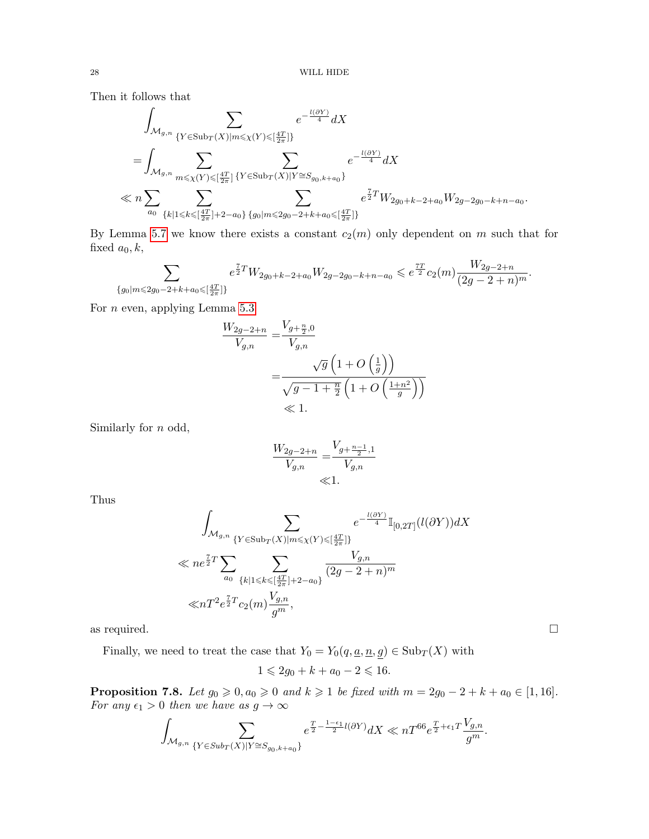Then it follows that

$$
\int_{\mathcal{M}_{g,n}} \sum_{\{Y \in \text{Sub}_T(X) | m \leq \chi(Y) \leq [\frac{4T}{2\pi}]\}} e^{-\frac{l(\partial Y)}{4}} dX
$$
\n
$$
= \int_{\mathcal{M}_{g,n}} \sum_{m \leq \chi(Y) \leq [\frac{4T}{2\pi}]} \sum_{\{Y \in \text{Sub}_T(X) | Y \cong S_{g_0,k+a_0}\}} e^{-\frac{l(\partial Y)}{4}} dX
$$
\n
$$
\ll n \sum_{a_0} \sum_{\{k \mid 1 \leq k \leq [\frac{4T}{2\pi}]+2-a_0\}} \sum_{\{g_0 | m \leq 2g_0 - 2 + k + a_0 \leq [\frac{4T}{2\pi}]\}} e^{\frac{7}{2}T} W_{2g_0+k-2+a_0} W_{2g-2g_0-k+n-a_0}.
$$

By Lemma [5.7](#page-13-3) we know there exists a constant  $c_2(m)$  only dependent on m such that for fixed  $a_0, k$ ,

$$
\sum_{\{g_0|m\leqslant 2g_0-2+k+a_0\leqslant \lceil \frac{4T}{2\pi}\rceil\}} e^{\frac{7}{2}T} W_{2g_0+k-2+a_0} W_{2g-2g_0-k+n-a_0} \leqslant e^{\frac{7T}{2}} c_2(m) \frac{W_{2g-2+n}}{(2g-2+n)^m}.
$$

For  $n$  even, applying Lemma [5.3](#page-12-0)

$$
\frac{W_{2g-2+n}}{V_{g,n}} = \frac{V_{g+\frac{n}{2},0}}{V_{g,n}}
$$
  
= 
$$
\frac{\sqrt{g}\left(1+O\left(\frac{1}{g}\right)\right)}{\sqrt{g-1+\frac{n}{2}\left(1+O\left(\frac{1+n^2}{g}\right)\right)}}
$$
  
\$\leqslant 1\$.

Similarly for n odd,

$$
\frac{W_{2g-2+n}}{V_{g,n}} = \frac{V_{g+\frac{n-1}{2},1}}{V_{g,n}}
$$
  
  $\ll 1$ .

Thus

$$
\int_{\mathcal{M}_{g,n}} \sum_{\{Y \in \text{Sub}_T(X) | m \le \chi(Y) \le \left[\frac{4T}{2\pi}\right] \}} e^{-\frac{l(\partial Y)}{4}} \mathbb{I}_{[0,2T]}(l(\partial Y)) dX
$$
  

$$
\ll n e^{\frac{7}{2}T} \sum_{a_0} \sum_{\{k \mid 1 \le k \le \left[\frac{4T}{2\pi}\right] + 2 - a_0\}} \frac{V_{g,n}}{(2g - 2 + n)^m}
$$
  

$$
\ll n T^2 e^{\frac{7}{2}T} c_2(m) \frac{V_{g,n}}{g^m},
$$

as required.  $\Box$ 

Finally, we need to treat the case that  $Y_0 = Y_0(q,\underline{a},\underline{n},\underline{g}) \in \mathrm{Sub}_T(X)$  with

$$
1 \leqslant 2g_0 + k + a_0 - 2 \leqslant 16.
$$

**Proposition 7.8.** Let  $g_0 \geq 0$ ,  $a_0 \geq 0$  and  $k \geq 1$  be fixed with  $m = 2g_0 - 2 + k + a_0 \in [1, 16]$ . For any  $\epsilon_1 > 0$  then we have as  $g \to \infty$ 

$$
\int_{\mathcal{M}_{g,n}}\sum_{\{Y\in Sub_{T}(X)|Y\cong S_{g_{0},k+a_{0}}\}}e^{\frac{T}{2}-\frac{1-\epsilon_{1}}{2}l(\partial Y)}dX\ll nT^{66}e^{\frac{T}{2}+\epsilon_{1}T}\frac{V_{g,n}}{g^{m}}.
$$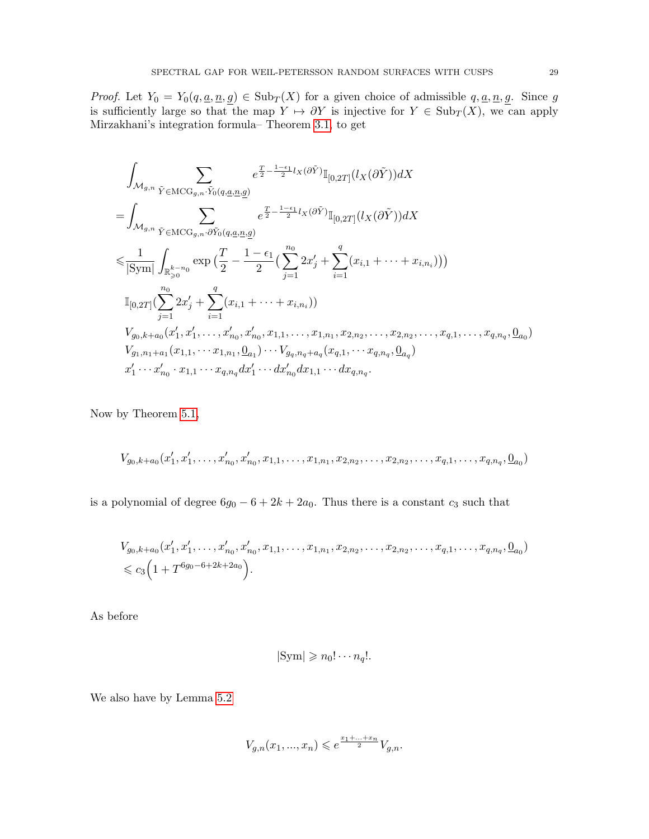*Proof.* Let  $Y_0 = Y_0(q, \underline{a}, \underline{n}, \underline{g}) \in Sub_T(X)$  for a given choice of admissible  $q, \underline{a}, \underline{n}, \underline{g}$ . Since g is sufficiently large so that the map  $Y \mapsto \partial Y$  is injective for  $Y \in Sub_T(X)$ , we can apply Mirzakhani's integration formula– Theorem [3.1,](#page-9-0) to get

$$
\int_{\mathcal{M}_{g,n}} \sum_{\tilde{Y} \in \mathrm{MCG}_{g,n} \cdot \tilde{Y}_0(q,\underline{a},\underline{n},\underline{g})} e^{\frac{T}{2} - \frac{1-\epsilon_1}{2}l_X(\partial \tilde{Y})} \mathbb{I}_{[0,2T]}(l_X(\partial \tilde{Y})) dX \n= \int_{\mathcal{M}_{g,n}} \sum_{\tilde{Y} \in \mathrm{MCG}_{g,n} \cdot \partial \tilde{Y}_0(q,\underline{a},\underline{n},\underline{g})} e^{\frac{T}{2} - \frac{1-\epsilon_1}{2}l_X(\partial \tilde{Y})} \mathbb{I}_{[0,2T]}(l_X(\partial \tilde{Y})) dX \n\leq \frac{1}{|\mathrm{Sym}|} \int_{\mathbb{R}_{\geq 0}^{k-n_0}} \exp\left(\frac{T}{2} - \frac{1-\epsilon_1}{2}\left(\sum_{j=1}^{n_0} 2x'_j + \sum_{i=1}^q (x_{i,1} + \dots + x_{i,n_i})\right)\right) \n\mathbb{I}_{[0,2T]}(\sum_{j=1}^{n_0} 2x'_j + \sum_{i=1}^q (x_{i,1} + \dots + x_{i,n_i})) \n\int_{g_0, k+a_0} (x'_1, x'_1, \dots, x'_{n_0}, x'_{n_0}, x_{1,1}, \dots, x_{1,n_1}, x_{2,n_2}, \dots, x_{2,n_2}, \dots, x_{q,1}, \dots, x_{q,n_q}, \underline{0}_{a_0}) \n\int_{g_1, n_1+a_1} (x_{1,1}, \dots, x_{1,n_1}, \underline{0}_{a_1}) \cdots \int_{g_q, n_q+a_q} (x_{q,1}, \dots, x_{q,n_q}, \underline{0}_{a_q}) \nx'_1 \cdots x'_{n_0} \cdot x_{1,1} \cdots x_{q,n_q} dx'_1 \cdots dx'_{n_0} dx_{1,1} \cdots dx_{q,n_q}.
$$

Now by Theorem [5.1,](#page-12-4)

$$
V_{g_0,k+a_0}(x'_1,x'_1,\ldots,x'_{n_0},x'_{n_0},x_{1,1},\ldots,x_{1,n_1},x_{2,n_2},\ldots,x_{2,n_2},\ldots,x_{q,1},\ldots,x_{q,n_q},\underline{0}_{a_0})
$$

is a polynomial of degree  $6g_0 - 6 + 2k + 2a_0$ . Thus there is a constant  $c_3$  such that

$$
V_{g_0,k+a_0}(x'_1, x'_1, \dots, x'_{n_0}, x'_{n_0}, x_{1,1}, \dots, x_{1,n_1}, x_{2,n_2}, \dots, x_{2,n_2}, \dots, x_{q,1}, \dots, x_{q,n_q}, \underline{0}_{a_0})
$$
  
\$\leq c\_3\Big(1+T^{6g\_0-6+2k+2a\_0}\Big).

As before

$$
|\mathrm{Sym}| \geqslant n_0! \cdots n_q!.
$$

We also have by Lemma [5.2](#page-12-1)

$$
V_{g,n}(x_1,...,x_n)\leqslant e^{\frac{x_1+...+x_n}{2}}V_{g,n}.
$$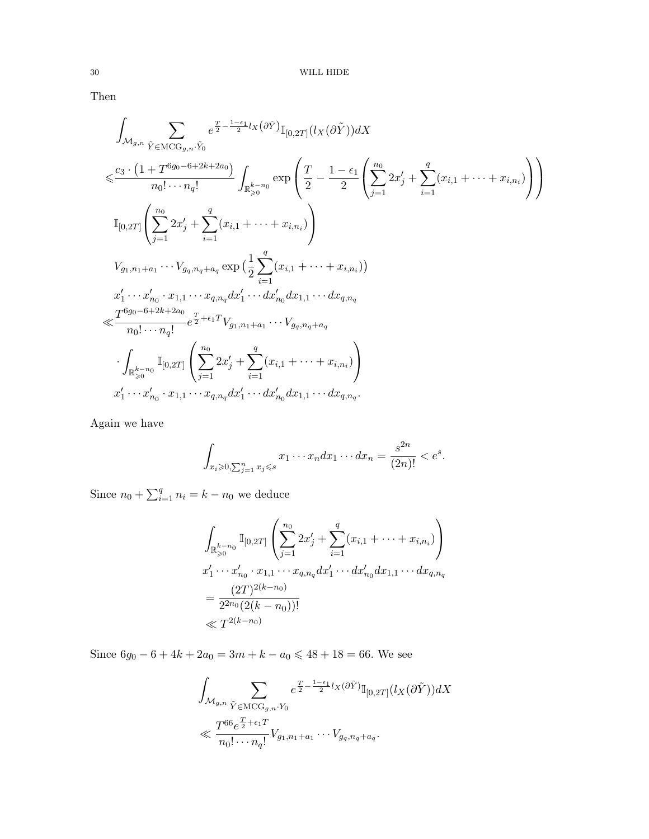Then

$$
\int_{\mathcal{M}_{g,n}} \sum_{\tilde{Y} \in \text{MCG}_{g,n}.\tilde{Y}_0} e^{\frac{T}{2} - \frac{1 - \epsilon_1}{2} l_X(\partial \tilde{Y})} \mathbb{I}_{[0,2T]}(l_X(\partial \tilde{Y})) dX
$$
\n
$$
\leq \frac{c_3 \cdot (1 + T^{6g_0 - 6 + 2k + 2a_0})}{n_0! \cdots n_q!} \int_{\mathbb{R}_{\geq 0}^{k - n_0} } \exp \left( \frac{T}{2} - \frac{1 - \epsilon_1}{2} \left( \sum_{j=1}^{n_0} 2x'_j + \sum_{i=1}^q (x_{i,1} + \cdots + x_{i,n_i}) \right) \right)
$$
\n
$$
\mathbb{I}_{[0,2T]} \left( \sum_{j=1}^{n_0} 2x'_j + \sum_{i=1}^q (x_{i,1} + \cdots + x_{i,n_i}) \right)
$$
\n
$$
V_{g_1, n_1 + a_1} \cdots V_{g_q, n_q + a_q} \exp \left( \frac{1}{2} \sum_{i=1}^q (x_{i,1} + \cdots + x_{i,n_i}) \right)
$$
\n
$$
x'_1 \cdots x'_{n_0} \cdot x_{1,1} \cdots x_{q,n_q} dx'_1 \cdots dx'_{n_0} dx_{1,1} \cdots dx_{q,n_q}
$$
\n
$$
\leq \frac{T^{6g_0 - 6 + 2k + 2a_0}}{n_0! \cdots n_q!} e^{\frac{T}{2} + \epsilon_1 T} V_{g_1, n_1 + a_1} \cdots V_{g_q, n_q + a_q}
$$
\n
$$
\cdot \int_{\mathbb{R}_{\geq 0}^{k - n_0}} \mathbb{I}_{[0,2T]} \left( \sum_{j=1}^{n_0} 2x'_j + \sum_{i=1}^q (x_{i,1} + \cdots + x_{i,n_i}) \right)
$$
\n
$$
x'_1 \cdots x'_{n_0} \cdot x_{1,1} \cdots x_{q,n_q} dx'_1 \cdots dx'_{n_0} dx_{1,1} \cdots dx_{q,n_q}.
$$

Again we have

$$
\int_{x_i \geqslant 0, \sum_{j=1}^n x_j \leqslant s} x_1 \cdots x_n dx_1 \cdots dx_n = \frac{s^{2n}}{(2n)!} < e^s.
$$

Since  $n_0 + \sum_{i=1}^{q} n_i = k - n_0$  we deduce

$$
\int_{\mathbb{R}_{\geqslant 0}^{k-n_0}} \mathbb{I}_{[0,2T]} \left( \sum_{j=1}^{n_0} 2x'_j + \sum_{i=1}^q (x_{i,1} + \dots + x_{i,n_i}) \right)
$$
\n
$$
x'_1 \cdots x'_{n_0} \cdot x_{1,1} \cdots x_{q,n_q} dx'_1 \cdots dx'_{n_0} dx_{1,1} \cdots dx_{q,n_q}
$$
\n
$$
= \frac{(2T)^{2(k-n_0)}}{2^{2n_0} (2(k-n_0))!}
$$
\n
$$
\ll T^{2(k-n_0)}
$$

Since  $6g_0 - 6 + 4k + 2a_0 = 3m + k - a_0 \le 48 + 18 = 66$ . We see

$$
\int_{\mathcal{M}_{g,n}} \sum_{\tilde{Y} \in \mathrm{MCG}_{g,n}, Y_0} e^{\frac{T}{2} - \frac{1 - \epsilon_1}{2} l_X(\partial \tilde{Y})} \mathbb{I}_{[0,2T]}(l_X(\partial \tilde{Y})) dX
$$
  

$$
\ll \frac{T^{66} e^{\frac{T}{2} + \epsilon_1 T}}{n_0! \cdots n_q!} V_{g_1, n_1 + a_1} \cdots V_{g_q, n_q + a_q}.
$$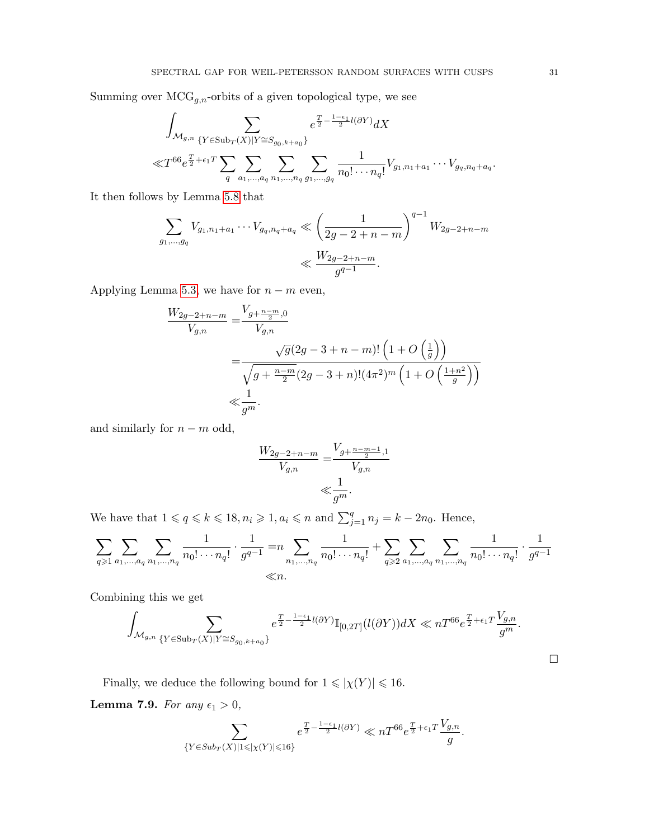Summing over  $\mathrm{MCG}_{g,n}$ -orbits of a given topological type, we see

$$
\int_{\mathcal{M}_{g,n}} \sum_{\{Y \in \text{Sub}_T(X) | Y \cong S_{g_0,k+a_0}\}} e^{\frac{T}{2} - \frac{1-\epsilon_1}{2}l(\partial Y)} dX
$$
\n
$$
\ll T^{66} e^{\frac{T}{2} + \epsilon_1 T} \sum_{q} \sum_{a_1, \dots, a_q} \sum_{n_1, \dots, n_q} \sum_{g_1, \dots, g_q} \frac{1}{n_0! \cdots n_q!} V_{g_1, n_1 + a_1} \cdots V_{g_q, n_q + a_q}.
$$

It then follows by Lemma [5.8](#page-13-2) that

$$
\sum_{g_1,\dots,g_q} V_{g_1,n_1+a_1}\cdots V_{g_q,n_q+a_q} \ll \left(\frac{1}{2g-2+n-m}\right)^{q-1} W_{2g-2+n-m}
$$
  

$$
\ll \frac{W_{2g-2+n-m}}{g^{q-1}}.
$$

Applying Lemma [5.3,](#page-12-0) we have for  $n - m$  even,

$$
\frac{W_{2g-2+n-m}}{V_{g,n}} = \frac{V_{g+\frac{n-m}{2},0}}{V_{g,n}}
$$
  
= 
$$
\frac{\sqrt{g}(2g-3+n-m)! \left(1+O\left(\frac{1}{g}\right)\right)}{\sqrt{g+\frac{n-m}{2}(2g-3+n)!(4\pi^2)^m \left(1+O\left(\frac{1+n^2}{g}\right)\right)}}
$$
  

$$
\ll \frac{1}{g^m}.
$$

and similarly for  $n - m$  odd,

$$
\frac{W_{2g-2+n-m}}{V_{g,n}} = \frac{V_{g+\frac{n-m-1}{2},1}}{V_{g,n}}
$$
  
 $\ll \frac{1}{g^m}.$ 

We have that  $1 \leqslant q \leqslant k \leqslant 18, n_i \geqslant 1, a_i \leqslant n$  and  $\sum_{j=1}^q n_j = k - 2n_0$ . Hence,

$$
\sum_{q \geqslant 1} \sum_{a_1, \dots, a_q} \sum_{n_1, \dots, n_q} \frac{1}{n_0! \cdots n_q!} \cdot \frac{1}{g^{q-1}} = n \sum_{n_1, \dots, n_q} \frac{1}{n_0! \cdots n_q!} + \sum_{q \geqslant 2} \sum_{a_1, \dots, a_q} \sum_{n_1, \dots, n_q} \frac{1}{n_0! \cdots n_q!} \cdot \frac{1}{g^{q-1}}
$$
  

$$
\ll n.
$$

Combining this we get

$$
\int_{\mathcal{M}_{g,n}} \sum_{\{Y \in \mathrm{Sub}_T(X) \mid Y \cong S_{g_0,k+a_0}\}} e^{\frac{T}{2} - \frac{1-\epsilon_1}{2}l(\partial Y)} \mathbb{I}_{[0,2T]}(l(\partial Y)) dX \ll nT^{66} e^{\frac{T}{2} + \epsilon_1 T} \frac{V_{g,n}}{g^m}.
$$

Finally, we deduce the following bound for  $1 \leqslant |\chi(Y)| \leqslant 16.$ 

<span id="page-30-0"></span>**Lemma 7.9.** For any  $\epsilon_1 > 0$ ,

$$
\sum_{\{Y\in Sub_{T}(X)|1\leqslant |\chi(Y)|\leqslant 16\}}e^{\frac{T}{2}-\frac{1-\epsilon_{1}}{2}l(\partial Y)}\ll nT^{66}e^{\frac{T}{2}+\epsilon_{1}T}\frac{V_{g,n}}{g}.
$$

 $\Box$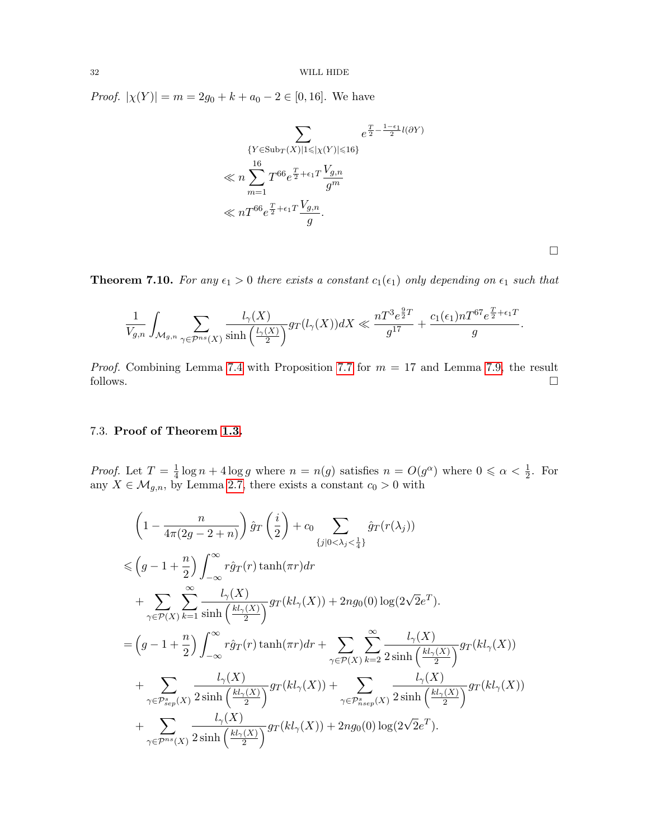*Proof.*  $|\chi(Y)| = m = 2g_0 + k + a_0 - 2 \in [0, 16]$ . We have

$$
\sum_{\{Y \in \text{Sub}_T(X) \mid 1 \leq |\chi(Y)| \leq 16\}} e^{\frac{T}{2} - \frac{1 - \epsilon_1}{2} l(\partial Y)}
$$
\n
$$
\ll n \sum_{m=1}^{16} T^{66} e^{\frac{T}{2} + \epsilon_1 T} \frac{V_{g,n}}{g^m}
$$
\n
$$
\ll n T^{66} e^{\frac{T}{2} + \epsilon_1 T} \frac{V_{g,n}}{g}.
$$

 $\Box$ 

**Theorem 7.10.** For any  $\epsilon_1 > 0$  there exists a constant  $c_1(\epsilon_1)$  only depending on  $\epsilon_1$  such that

$$
\frac{1}{V_{g,n}}\int_{\mathcal{M}_{g,n}}\sum_{\gamma\in\mathcal{P}^{ns}(X)}\frac{l_{\gamma}(X)}{\sinh\left(\frac{l_{\gamma}(X)}{2}\right)}g_T(l_{\gamma}(X))dX\ll \frac{nT^3e^{\frac{9}{2}T}}{g^{17}}+\frac{c_1(\epsilon_1)nT^{67}e^{\frac{T}{2}+\epsilon_1T}}{g}.
$$

*Proof.* Combining Lemma [7.4](#page-21-3) with Proposition [7.7](#page-26-0) for  $m = 17$  and Lemma [7.9,](#page-30-0) the result follows.  $\Box$ 

# 7.3. Proof of Theorem [1.3.](#page-1-1)

*Proof.* Let  $T = \frac{1}{4}$  $\frac{1}{4} \log n + 4 \log g$  where  $n = n(g)$  satisfies  $n = O(g^{\alpha})$  where  $0 \le \alpha < \frac{1}{2}$ . For any  $X \in \mathcal{M}_{g,n}$ , by Lemma [2.7,](#page-6-0) there exists a constant  $c_0 > 0$  with

$$
\left(1 - \frac{n}{4\pi(2g - 2 + n)}\right) \hat{g}_T\left(\frac{i}{2}\right) + c_0 \sum_{\{j|0 < \lambda_j < \frac{1}{4}\}} \hat{g}_T(r(\lambda_j))
$$
\n
$$
\leqslant \left(g - 1 + \frac{n}{2}\right) \int_{-\infty}^{\infty} r \hat{g}_T(r) \tanh(\pi r) dr + \sum_{\gamma \in \mathcal{P}(X)} \sum_{k=1}^{\infty} \frac{l_{\gamma}(X)}{\sinh\left(\frac{kl_{\gamma}(X)}{2}\right)} g_T(kl_{\gamma}(X)) + 2ng_0(0) \log(2\sqrt{2}e^T).
$$
\n
$$
= \left(g - 1 + \frac{n}{2}\right) \int_{-\infty}^{\infty} r \hat{g}_T(r) \tanh(\pi r) dr + \sum_{\gamma \in \mathcal{P}(X)} \sum_{k=2}^{\infty} \frac{l_{\gamma}(X)}{2 \sinh\left(\frac{kl_{\gamma}(X)}{2}\right)} g_T(kl_{\gamma}(X)) + \sum_{\gamma \in \mathcal{P}_{sep}^s(X)} \frac{l_{\gamma}(X)}{2 \sinh\left(\frac{kl_{\gamma}(X)}{2}\right)} g_T(kl_{\gamma}(X)) + \sum_{\gamma \in \mathcal{P}_{user}^s(X)} \frac{l_{\gamma}(X)}{2 \sinh\left(\frac{kl_{\gamma}(X)}{2}\right)} g_T(kl_{\gamma}(X)) + 2ng_0(0) \log(2\sqrt{2}e^T).
$$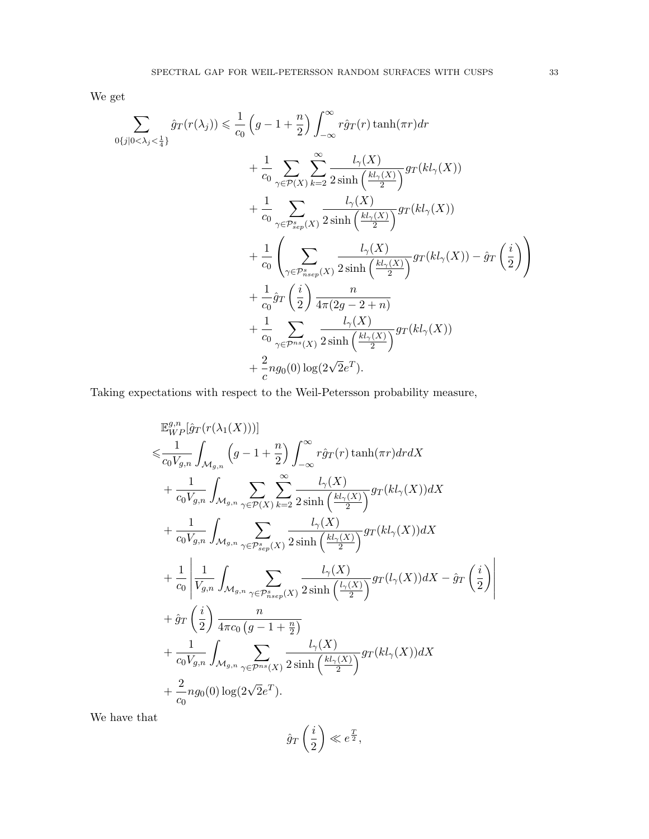We get

$$
\sum_{0\{j|0<\lambda_{j}<\frac{1}{4}\}}\hat{g}_{T}(r(\lambda_{j})) \leq \frac{1}{c_{0}}\left(g-1+\frac{n}{2}\right) \int_{-\infty}^{\infty} r\hat{g}_{T}(r) \tanh(\pi r) dr \n+ \frac{1}{c_{0}}\sum_{\gamma \in \mathcal{P}(X)}\sum_{k=2}^{\infty} \frac{l_{\gamma}(X)}{2 \sinh\left(\frac{kl_{\gamma}(X)}{2}\right)} g_{T}(kl_{\gamma}(X)) \n+ \frac{1}{c_{0}}\sum_{\gamma \in \mathcal{P}_{sep}^{s}(X)}\frac{l_{\gamma}(X)}{2 \sinh\left(\frac{kl_{\gamma}(X)}{2}\right)} g_{T}(kl_{\gamma}(X)) \n+ \frac{1}{c_{0}}\left(\sum_{\gamma \in \mathcal{P}_{sep}^{s}(X)}\frac{l_{\gamma}(X)}{2 \sinh\left(\frac{kl_{\gamma}(X)}{2}\right)} g_{T}(kl_{\gamma}(X)) - \hat{g}_{T}\left(\frac{i}{2}\right)\right) \n+ \frac{1}{c_{0}}\hat{g}_{T}\left(\frac{i}{2}\right) \frac{n}{4\pi(2g-2+n)} \n+ \frac{1}{c_{0}}\sum_{\gamma \in \mathcal{P}^{ns}(X)}\frac{l_{\gamma}(X)}{2 \sinh\left(\frac{kl_{\gamma}(X)}{2}\right)} g_{T}(kl_{\gamma}(X)) \n+ \frac{2}{c}n g_{0}(0) \log(2\sqrt{2}e^{T}).
$$

Taking expectations with respect to the Weil-Petersson probability measure,

$$
\mathbb{E}_{WP}^{g,n}[\hat{g}_{T}(r(\lambda_{1}(X)))]
$$
\n
$$
\leq \frac{1}{c_{0}V_{g,n}} \int_{\mathcal{M}_{g,n}} \left(g-1+\frac{n}{2}\right) \int_{-\infty}^{\infty} r\hat{g}_{T}(r) \tanh(\pi r) dr dX
$$
\n
$$
+ \frac{1}{c_{0}V_{g,n}} \int_{\mathcal{M}_{g,n}} \sum_{\gamma \in \mathcal{P}(X)} \sum_{k=2}^{\infty} \frac{l_{\gamma}(X)}{2 \sinh\left(\frac{kl_{\gamma}(X)}{2}\right)} g_{T}(kl_{\gamma}(X)) dX
$$
\n
$$
+ \frac{1}{c_{0}V_{g,n}} \int_{\mathcal{M}_{g,n}} \sum_{\gamma \in \mathcal{P}_{sep}^{s}(X)} \frac{l_{\gamma}(X)}{2 \sinh\left(\frac{kl_{\gamma}(X)}{2}\right)} g_{T}(kl_{\gamma}(X)) dX
$$
\n
$$
+ \frac{1}{c_{0}} \left| \frac{1}{V_{g,n}} \int_{\mathcal{M}_{g,n}} \sum_{\gamma \in \mathcal{P}_{nsep}^{s}(X)} \frac{l_{\gamma}(X)}{2 \sinh\left(\frac{l_{\gamma}(X)}{2}\right)} g_{T}(l_{\gamma}(X)) dX - \hat{g}_{T}\left(\frac{i}{2}\right) \right|
$$
\n
$$
+ \hat{g}_{T}\left(\frac{i}{2}\right) \frac{n}{4\pi c_{0} \left(g-1+\frac{n}{2}\right)}
$$
\n
$$
+ \frac{1}{c_{0}V_{g,n}} \int_{\mathcal{M}_{g,n}} \sum_{\gamma \in \mathcal{P}_{n}} \frac{l_{\gamma}(X)}{2 \sinh\left(\frac{kl_{\gamma}(X)}{2}\right)} g_{T}(kl_{\gamma}(X)) dX
$$
\n
$$
+ \frac{2}{c_{0}} n g_{0}(0) \log(2\sqrt{2}e^{T}).
$$

We have that

$$
\hat{g}_T\left(\frac{i}{2}\right) \ll e^{\frac{T}{2}},
$$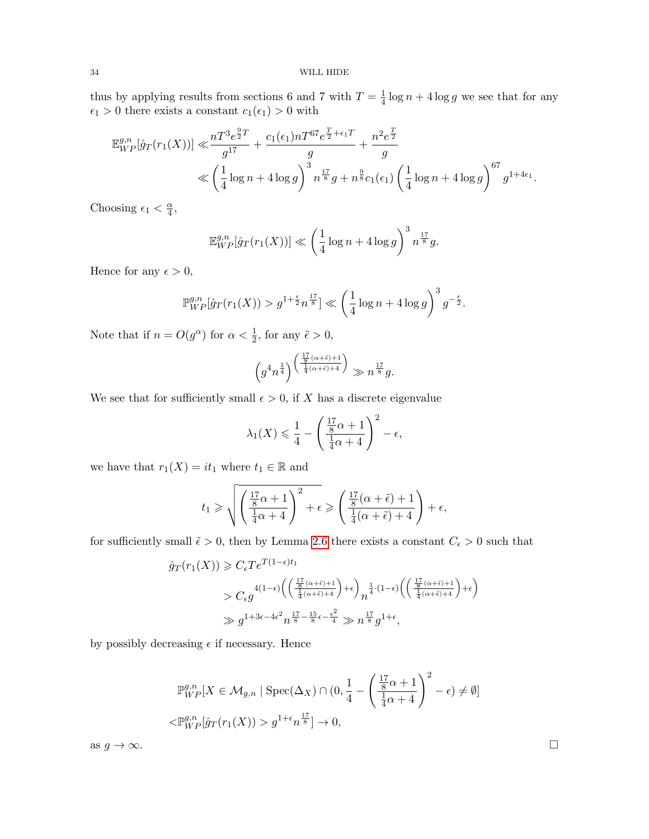thus by applying results from sections 6 and 7 with  $T=\frac{1}{4}$  $\frac{1}{4} \log n + 4 \log g$  we see that for any  $\epsilon_1 > 0$  there exists a constant  $c_1(\epsilon_1) > 0$  with

$$
\mathbb{E}_{WP}^{g,n}[\hat{g}_T(r_1(X))] \ll \frac{nT^3e^{\frac{9}{2}T}}{g^{17}} + \frac{c_1(\epsilon_1)nT^{67}e^{\frac{T}{2} + \epsilon_1 T}}{g} + \frac{n^2e^{\frac{T}{2}}}{g} \ll \left(\frac{1}{4}\log n + 4\log g\right)^3 n^{\frac{17}{8}}g + n^{\frac{9}{8}}c_1(\epsilon_1)\left(\frac{1}{4}\log n + 4\log g\right)^{67}g^{1+4\epsilon_1}.
$$

Choosing  $\epsilon_1 < \frac{\alpha}{4}$  $\frac{\alpha}{4}$ ,

$$
\mathbb{E}_{WP}^{g,n}[\hat{g}_T(r_1(X))] \ll \left(\frac{1}{4}\log n + 4\log g\right)^3 n^{\frac{17}{8}}g.
$$

Hence for any  $\epsilon > 0$ ,

$$
\mathbb{P}_{WP}^{g,n}[\hat{g}_T(r_1(X)) > g^{1+\frac{\epsilon}{2}} n^{\frac{17}{8}}] \ll \left(\frac{1}{4}\log n + 4\log g\right)^3 g^{-\frac{\epsilon}{2}}.
$$

Note that if  $n = O(g^{\alpha})$  for  $\alpha < \frac{1}{2}$ , for any  $\tilde{\epsilon} > 0$ ,

$$
\left(g^4 n^{\frac{1}{4}}\right)^{\left(\frac{\frac{17}{8}(\alpha+\tilde{\epsilon})+1}{\frac{1}{4}(\alpha+\tilde{\epsilon})+4}\right)} \gg n^{\frac{17}{8}}g.
$$

We see that for sufficiently small  $\epsilon > 0$ , if X has a discrete eigenvalue

$$
\lambda_1(X) \le \frac{1}{4} - \left(\frac{\frac{17}{8}\alpha + 1}{\frac{1}{4}\alpha + 4}\right)^2 - \epsilon,
$$

we have that  $r_1(X) = i t_1$  where  $t_1 \in \mathbb{R}$  and

$$
t_1 \ge \sqrt{\left(\frac{\frac{17}{8}\alpha + 1}{\frac{1}{4}\alpha + 4}\right)^2 + \epsilon} \ge \left(\frac{\frac{17}{8}(\alpha + \tilde{\epsilon}) + 1}{\frac{1}{4}(\alpha + \tilde{\epsilon}) + 4}\right) + \epsilon,
$$

for sufficiently small  $\tilde{\epsilon} > 0$ , then by Lemma [2.6](#page-6-1) there exists a constant  $C_{\epsilon} > 0$  such that

$$
\hat{g}_T(r_1(X)) \geq C_{\epsilon} T e^{T(1-\epsilon)t_1}
$$
\n
$$
> C_{\epsilon} g^{4(1-\epsilon) \left( \left( \frac{\frac{17}{8}(\alpha+\tilde{\epsilon})+1}{\frac{1}{4}(\alpha+\tilde{\epsilon})+4} \right) + \epsilon \right)} n^{\frac{1}{4} \cdot (1-\epsilon) \left( \left( \frac{\frac{17}{8}(\alpha+\tilde{\epsilon})+1}{\frac{1}{4}(\alpha+\tilde{\epsilon})+4} \right) + \epsilon \right)}
$$
\n
$$
\gg g^{1+3\epsilon-4\epsilon^2} n^{\frac{17}{8} - \frac{15}{8}\epsilon - \frac{\epsilon^2}{4}} \gg n^{\frac{17}{8}} g^{1+\epsilon},
$$

by possibly decreasing  $\epsilon$  if necessary. Hence

$$
\mathbb{P}_{WP}^{g,n}[X \in \mathcal{M}_{g,n} \mid \text{Spec}(\Delta_X) \cap (0, \frac{1}{4} - \left(\frac{\frac{17}{8}\alpha + 1}{\frac{1}{4}\alpha + 4}\right)^2 - \epsilon) \neq \emptyset]
$$
  

$$
<\mathbb{P}_{WP}^{g,n}[\hat{g}_T(r_1(X)) > g^{1+\epsilon}n^{\frac{17}{8}}] \to 0,
$$

as  $g \to \infty$ .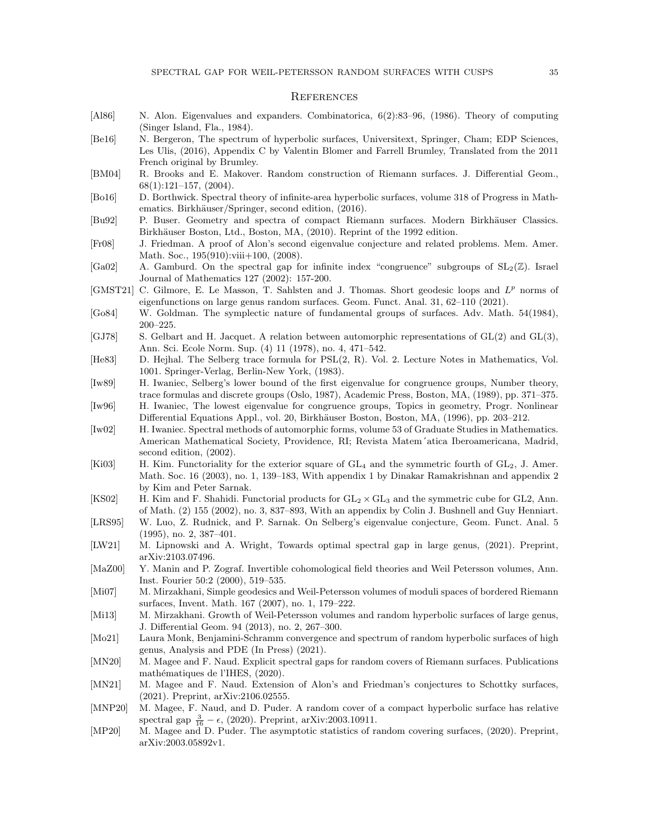#### **REFERENCES**

- <span id="page-34-0"></span>[Al86] N. Alon. Eigenvalues and expanders. Combinatorica, 6(2):83–96, (1986). Theory of computing (Singer Island, Fla., 1984).
- <span id="page-34-18"></span>[Be16] N. Bergeron, The spectrum of hyperbolic surfaces, Universitext, Springer, Cham; EDP Sciences, Les Ulis, (2016), Appendix C by Valentin Blomer and Farrell Brumley, Translated from the 2011 French original by Brumley.
- <span id="page-34-2"></span>[BM04] R. Brooks and E. Makover. Random construction of Riemann surfaces. J. Differential Geom., 68(1):121–157, (2004).
- [Bo16] D. Borthwick. Spectral theory of infinite-area hyperbolic surfaces, volume 318 of Progress in Mathematics. Birkhäuser/Springer, second edition, (2016).
- <span id="page-34-20"></span>[Bu92] P. Buser. Geometry and spectra of compact Riemann surfaces. Modern Birkhäuser Classics. Birkhäuser Boston, Ltd., Boston, MA, (2010). Reprint of the 1992 edition.
- <span id="page-34-1"></span>[Fr08] J. Friedman. A proof of Alon's second eigenvalue conjecture and related problems. Mem. Amer. Math. Soc., 195(910):viii+100, (2008).
- <span id="page-34-19"></span>[Ga02] A. Gamburd. On the spectral gap for infinite index "congruence" subgroups of  $SL_2(\mathbb{Z})$ . Israel Journal of Mathematics 127 (2002): 157-200.
- <span id="page-34-6"></span>[GMST21] C. Gilmore, E. Le Masson, T. Sahlsten and J. Thomas. Short geodesic loops and  $L^p$  norms of eigenfunctions on large genus random surfaces. Geom. Funct. Anal. 31, 62–110 (2021).
- [Go84] W. Goldman. The symplectic nature of fundamental groups of surfaces. Adv. Math. 54(1984), 200–225.
- <span id="page-34-11"></span>[GJ78] S. Gelbart and H. Jacquet. A relation between automorphic representations of GL(2) and GL(3), Ann. Sci. Ecole Norm. Sup. (4) 11 (1978), no. 4, 471–542.
- [He83] D. Hejhal. The Selberg trace formula for PSL(2, R). Vol. 2. Lecture Notes in Mathematics, Vol. 1001. Springer-Verlag, Berlin-New York, (1983).
- <span id="page-34-12"></span>[Iw89] H. Iwaniec, Selberg's lower bound of the first eigenvalue for congruence groups, Number theory, trace formulas and discrete groups (Oslo, 1987), Academic Press, Boston, MA, (1989), pp. 371–375.
- <span id="page-34-14"></span>[Iw96] H. Iwaniec, The lowest eigenvalue for congruence groups, Topics in geometry, Progr. Nonlinear Differential Equations Appl., vol. 20, Birkhäuser Boston, Boston, MA, (1996), pp. 203–212.
- <span id="page-34-17"></span>[Iw02] H. Iwaniec. Spectral methods of automorphic forms, volume 53 of Graduate Studies in Mathematics. American Mathematical Society, Providence, RI; Revista Matem´atica Iberoamericana, Madrid, second edition, (2002).
- <span id="page-34-16"></span>[Ki03] H. Kim. Functoriality for the exterior square of  $GL_4$  and the symmetric fourth of  $GL_2$ , J. Amer. Math. Soc. 16 (2003), no. 1, 139–183, With appendix 1 by Dinakar Ramakrishnan and appendix 2 by Kim and Peter Sarnak.
- <span id="page-34-15"></span>[KS02] H. Kim and F. Shahidi. Functorial products for  $GL_2 \times GL_3$  and the symmetric cube for GL2, Ann. of Math. (2) 155 (2002), no. 3, 837–893, With an appendix by Colin J. Bushnell and Guy Henniart.
- <span id="page-34-13"></span>[LRS95] W. Luo, Z. Rudnick, and P. Sarnak. On Selberg's eigenvalue conjecture, Geom. Funct. Anal. 5 (1995), no. 2, 387–401.
- <span id="page-34-4"></span>[LW21] M. Lipnowski and A. Wright, Towards optimal spectral gap in large genus, (2021). Preprint, arXiv:2103.07496.
- <span id="page-34-22"></span>[MaZ00] Y. Manin and P. Zograf. Invertible cohomological field theories and Weil Petersson volumes, Ann. Inst. Fourier 50:2 (2000), 519–535.
- <span id="page-34-21"></span>[Mi07] M. Mirzakhani, Simple geodesics and Weil-Petersson volumes of moduli spaces of bordered Riemann surfaces, Invent. Math. 167 (2007), no. 1, 179–222.
- <span id="page-34-3"></span>[Mi13] M. Mirzakhani. Growth of Weil-Petersson volumes and random hyperbolic surfaces of large genus, J. Differential Geom. 94 (2013), no. 2, 267–300.
- <span id="page-34-5"></span>[Mo21] Laura Monk, Benjamini-Schramm convergence and spectrum of random hyperbolic surfaces of high genus, Analysis and PDE (In Press) (2021).
- <span id="page-34-7"></span>[MN20] M. Magee and F. Naud. Explicit spectral gaps for random covers of Riemann surfaces. Publications mathématiques de l'IHES, (2020).
- <span id="page-34-10"></span>[MN21] M. Magee and F. Naud. Extension of Alon's and Friedman's conjectures to Schottky surfaces, (2021). Preprint, arXiv:2106.02555.
- <span id="page-34-9"></span>[MNP20] M. Magee, F. Naud, and D. Puder. A random cover of a compact hyperbolic surface has relative spectral gap  $\frac{3}{16} - \epsilon$ , (2020). Preprint, arXiv:2003.10911.
- <span id="page-34-8"></span>[MP20] M. Magee and D. Puder. The asymptotic statistics of random covering surfaces, (2020). Preprint, arXiv:2003.05892v1.